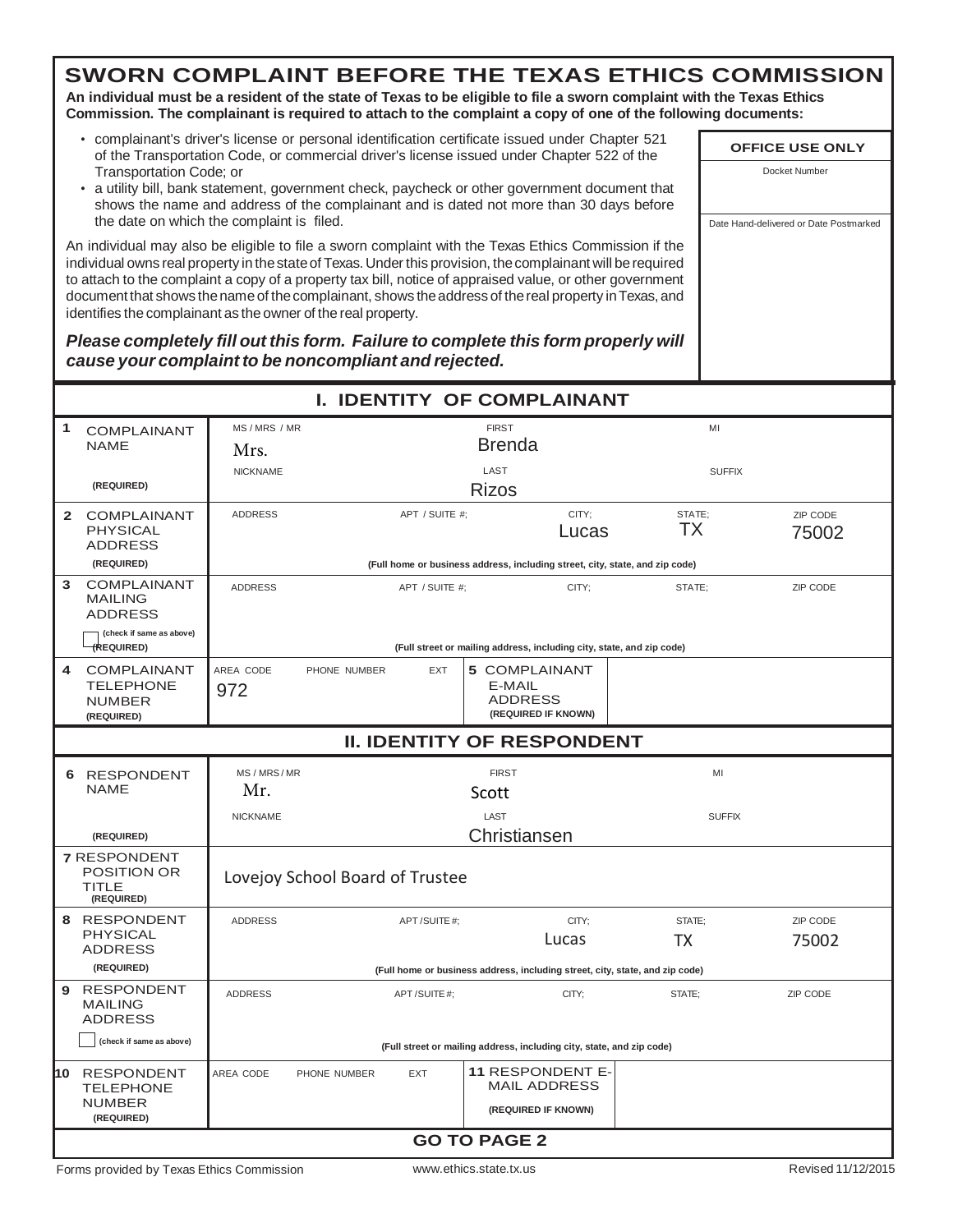**An individual must be a resident of the state of Texas to be eligible to file a sworn complaint with the Texas Ethics Commission. The complainant is required to attach to the complaint a copy of one of the following documents:**

- complainant's driver's license or personal identification certificate issued under Chapter 521 of the Transportation Code, or commercial driver's license issued under Chapter 522 of the Transportation Code; or
- a utility bill, bank statement, government check, paycheck or other government document that shows the name and address of the complainant and is dated not more than 30 days before the date on which the complaint is filed.

An individual may also be eligible to file a sworn complaint with the Texas Ethics Commission if the individual owns real property in thestateof Texas.Underthis provision, thecomplainant will berequired to attach to the complaint a copy of a property tax bill, notice of appraised value, or other government document that shows the name of the complainant, shows the address of the real property in Texas, and identifies the complainant as the owner of the real property.

*Please completely fill out this form. Failure to complete this form properly will cause your complaint to be noncompliant and rejected.*

|                                                                            |  |                                                       |                                 |                |                                                  | <b>I. IDENTITY OF COMPLAINANT</b>                                     |                                                                              |               |                    |
|----------------------------------------------------------------------------|--|-------------------------------------------------------|---------------------------------|----------------|--------------------------------------------------|-----------------------------------------------------------------------|------------------------------------------------------------------------------|---------------|--------------------|
| 1<br><b>COMPLAINANT</b><br><b>NAME</b>                                     |  | MS / MRS / MR<br><b>FIRST</b><br>MI<br>Brenda<br>Mrs. |                                 |                |                                                  |                                                                       |                                                                              |               |                    |
| (REQUIRED)                                                                 |  | <b>NICKNAME</b>                                       |                                 |                | LAST<br><b>Rizos</b>                             |                                                                       |                                                                              | <b>SUFFIX</b> |                    |
| $\overline{2}$<br><b>COMPLAINANT</b><br><b>PHYSICAL</b><br><b>ADDRESS</b>  |  | <b>ADDRESS</b>                                        |                                 | APT / SUITE #; |                                                  | CITY:<br>Lucas                                                        | STATE:<br>ТX                                                                 |               | ZIP CODE<br>75002  |
| (REQUIRED)                                                                 |  |                                                       |                                 |                |                                                  |                                                                       | (Full home or business address, including street, city, state, and zip code) |               |                    |
| <b>COMPLAINANT</b><br>3<br><b>MAILING</b><br><b>ADDRESS</b>                |  | <b>ADDRESS</b>                                        |                                 | APT / SUITE #: |                                                  | CITY;                                                                 | STATE:                                                                       |               | ZIP CODE           |
| (check if same as above)<br>(REQUIRED)                                     |  |                                                       |                                 |                |                                                  | (Full street or mailing address, including city, state, and zip code) |                                                                              |               |                    |
| <b>COMPLAINANT</b><br>4<br><b>TELEPHONE</b><br><b>NUMBER</b><br>(REQUIRED) |  | AREA CODE<br>972                                      | PHONE NUMBER                    | <b>EXT</b>     | <b>5 COMPLAINANT</b><br>E-MAIL<br><b>ADDRESS</b> | (REQUIRED IF KNOWN)                                                   |                                                                              |               |                    |
| <b>II. IDENTITY OF RESPONDENT</b>                                          |  |                                                       |                                 |                |                                                  |                                                                       |                                                                              |               |                    |
| 6 RESPONDENT<br><b>NAME</b>                                                |  | MS / MRS / MR<br>Mr.                                  |                                 |                | <b>FIRST</b><br>Scott                            |                                                                       |                                                                              | MI            |                    |
| (REQUIRED)                                                                 |  | <b>NICKNAME</b>                                       |                                 |                | LAST<br>Christiansen                             |                                                                       |                                                                              | <b>SUFFIX</b> |                    |
| <b>7 RESPONDENT</b><br><b>POSITION OR</b><br><b>TITLE</b><br>(REQUIRED)    |  |                                                       | Lovejoy School Board of Trustee |                |                                                  |                                                                       |                                                                              |               |                    |
| 8 RESPONDENT<br><b>PHYSICAL</b><br><b>ADDRESS</b>                          |  | <b>ADDRESS</b>                                        |                                 | APT/SUITE#;    |                                                  | CITY;<br>Lucas                                                        | STATE;<br>ТX                                                                 |               | ZIP CODE<br>75002  |
| (REQUIRED)                                                                 |  |                                                       |                                 |                |                                                  |                                                                       | (Full home or business address, including street, city, state, and zip code) |               |                    |
| 9 RESPONDENT<br><b>MAILING</b><br><b>ADDRESS</b>                           |  | <b>ADDRESS</b>                                        |                                 | APT/SUITE#:    |                                                  | CITY;                                                                 | STATE:                                                                       |               | ZIP CODE           |
| (check if same as above)                                                   |  |                                                       |                                 |                |                                                  | (Full street or mailing address, including city, state, and zip code) |                                                                              |               |                    |
| 10 RESPONDENT<br><b>TELEPHONE</b>                                          |  | AREA CODE                                             | PHONE NUMBER                    | <b>EXT</b>     |                                                  | <b>11 RESPONDENT E-</b><br><b>MAIL ADDRESS</b>                        |                                                                              |               |                    |
| <b>NUMBER</b><br>(REQUIRED)                                                |  |                                                       |                                 |                |                                                  | (REQUIRED IF KNOWN)                                                   |                                                                              |               |                    |
|                                                                            |  |                                                       |                                 |                | <b>GO TO PAGE 2</b>                              |                                                                       |                                                                              |               |                    |
| Forms provided by Texas Ethics Commission                                  |  |                                                       |                                 |                | www.ethics.state.tx.us                           |                                                                       |                                                                              |               | Revised 11/12/2015 |

**OFFICE USE ONLY** Docket Number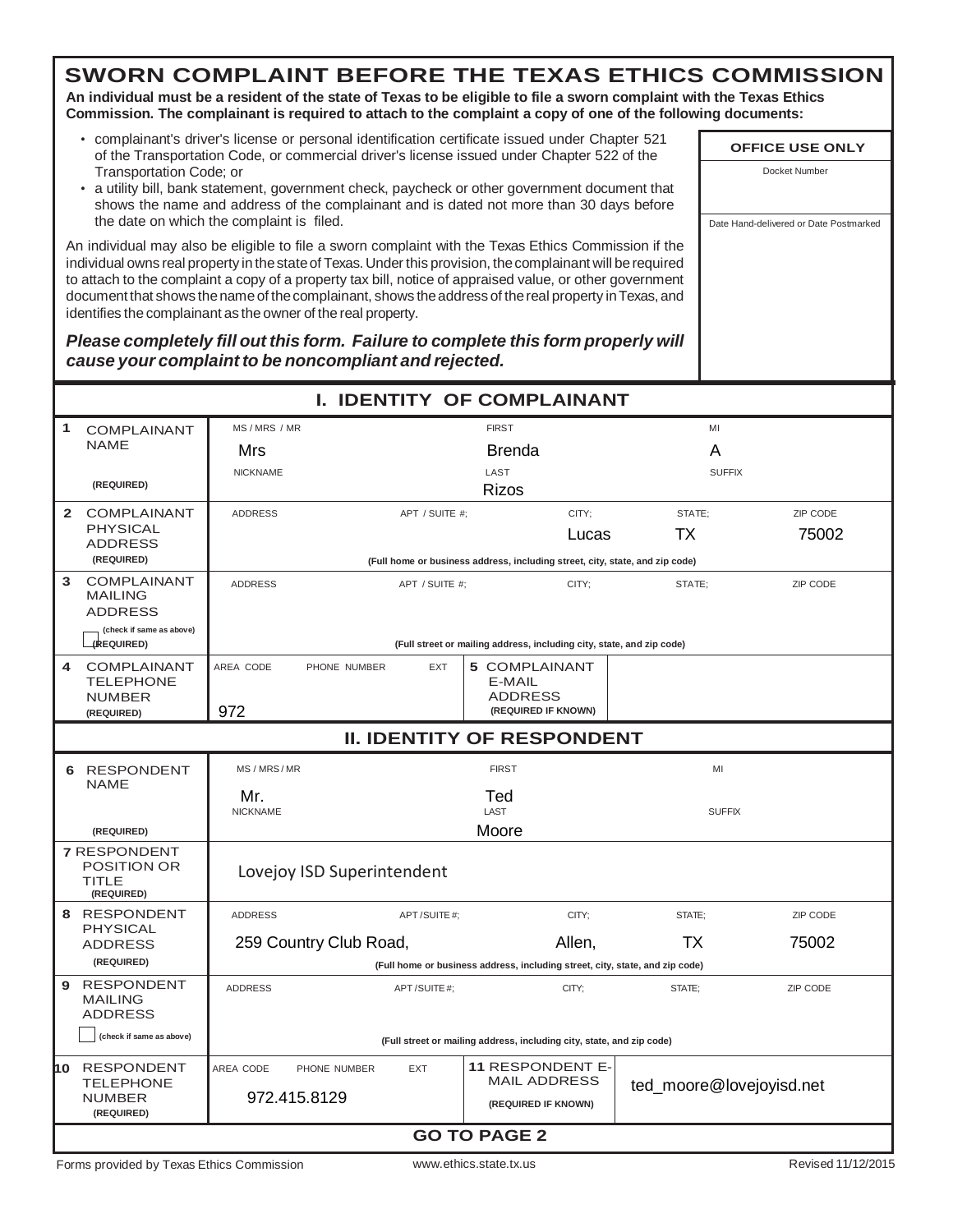**An individual must be a resident of the state of Texas to be eligible to file a sworn complaint with the Texas Ethics Commission. The complainant is required to attach to the complaint a copy of one of the following documents:**

- complainant's driver's license or personal identification certificate issued under Chapter 521 of the Transportation Code, or commercial driver's license issued under Chapter 522 of the Transportation Code; or
- a utility bill, bank statement, government check, paycheck or other government document that shows the name and address of the complainant and is dated not more than 30 days before the date on which the complaint is filed.

An individual may also be eligible to file a sworn complaint with the Texas Ethics Commission if the individual owns real property in thestateof Texas.Underthis provision, thecomplainant will berequired to attach to the complaint a copy of a property tax bill, notice of appraised value, or other government document that shows the name of the complainant, shows the address of the real property in Texas, and identifies the complainant as the owner of the real property.

*Please completely fill out this form. Failure to complete this form properly will cause your complaint to be noncompliant and rejected.*

|                | <b>I. IDENTITY OF COMPLAINANT</b>                                |                            |                |                                                                              |                          |                    |  |  |  |
|----------------|------------------------------------------------------------------|----------------------------|----------------|------------------------------------------------------------------------------|--------------------------|--------------------|--|--|--|
| 1              | <b>COMPLAINANT</b>                                               | MS / MRS / MR              |                | <b>FIRST</b>                                                                 | MI                       |                    |  |  |  |
|                | <b>NAME</b>                                                      | Mrs                        |                | Brenda                                                                       | A                        |                    |  |  |  |
|                |                                                                  | <b>NICKNAME</b>            |                | LAST                                                                         | <b>SUFFIX</b>            |                    |  |  |  |
|                | (REQUIRED)                                                       |                            |                | <b>Rizos</b>                                                                 |                          |                    |  |  |  |
| $\overline{2}$ | <b>COMPLAINANT</b>                                               | <b>ADDRESS</b>             | APT / SUITE #; | CITY;                                                                        | STATE;                   | ZIP CODE           |  |  |  |
|                | <b>PHYSICAL</b><br><b>ADDRESS</b>                                |                            |                | Lucas                                                                        | ТX                       | 75002              |  |  |  |
|                | (REQUIRED)                                                       |                            |                | (Full home or business address, including street, city, state, and zip code) |                          |                    |  |  |  |
| 3              | <b>COMPLAINANT</b><br><b>MAILING</b><br><b>ADDRESS</b>           | <b>ADDRESS</b>             | APT / SUITE #; | CITY:                                                                        | STATE;                   | ZIP CODE           |  |  |  |
|                | (check if same as above)<br>(REQUIRED)                           |                            |                | (Full street or mailing address, including city, state, and zip code)        |                          |                    |  |  |  |
| 4              | <b>COMPLAINANT</b><br><b>TELEPHONE</b>                           | AREA CODE<br>PHONE NUMBER  | <b>EXT</b>     | <b>5 COMPLAINANT</b><br>E-MAIL                                               |                          |                    |  |  |  |
|                | <b>NUMBER</b><br>(REQUIRED)                                      | 972                        |                | <b>ADDRESS</b><br>(REQUIRED IF KNOWN)                                        |                          |                    |  |  |  |
|                | <b>II. IDENTITY OF RESPONDENT</b>                                |                            |                |                                                                              |                          |                    |  |  |  |
| 6              | <b>RESPONDENT</b>                                                | MS/MRS/MR                  |                | <b>FIRST</b>                                                                 | MI                       |                    |  |  |  |
|                | <b>NAME</b>                                                      | Mr.<br><b>NICKNAME</b>     |                | Ted<br>LAST                                                                  | <b>SUFFIX</b>            |                    |  |  |  |
|                | (REQUIRED)                                                       |                            |                | Moore                                                                        |                          |                    |  |  |  |
|                | <b>7 RESPONDENT</b><br><b>POSITION OR</b><br>TITLE<br>(REQUIRED) | Lovejoy ISD Superintendent |                |                                                                              |                          |                    |  |  |  |
|                | 8 RESPONDENT                                                     | <b>ADDRESS</b>             | APT/SUITE#;    | CITY:                                                                        | STATE:                   | <b>ZIP CODE</b>    |  |  |  |
|                | <b>PHYSICAL</b><br><b>ADDRESS</b>                                | 259 Country Club Road,     |                | Allen,                                                                       | ТX                       | 75002              |  |  |  |
|                | (REQUIRED)                                                       |                            |                | (Full home or business address, including street, city, state, and zip code) |                          |                    |  |  |  |
| 9              | <b>RESPONDENT</b><br><b>MAILING</b><br><b>ADDRESS</b>            | <b>ADDRESS</b>             | APT/SUITE#;    | CITY;                                                                        | STATE;                   | ZIP CODE           |  |  |  |
|                | (check if same as above)                                         |                            |                | (Full street or mailing address, including city, state, and zip code)        |                          |                    |  |  |  |
| hо             | RESPONDENT                                                       | AREA CODE<br>PHONE NUMBER  | <b>EXT</b>     | <b>11 RESPONDENT E-</b>                                                      |                          |                    |  |  |  |
|                | <b>TELEPHONE</b><br><b>NUMBER</b><br>(REQUIRED)                  | 972.415.8129               |                | <b>MAIL ADDRESS</b><br>(REQUIRED IF KNOWN)                                   | ted_moore@lovejoyisd.net |                    |  |  |  |
|                |                                                                  |                            |                | <b>GO TO PAGE 2</b>                                                          |                          |                    |  |  |  |
|                | Forms provided by Texas Ethics Commission                        |                            |                | www.ethics.state.tx.us                                                       |                          | Revised 11/12/2015 |  |  |  |

**OFFICE USE ONLY** Docket Number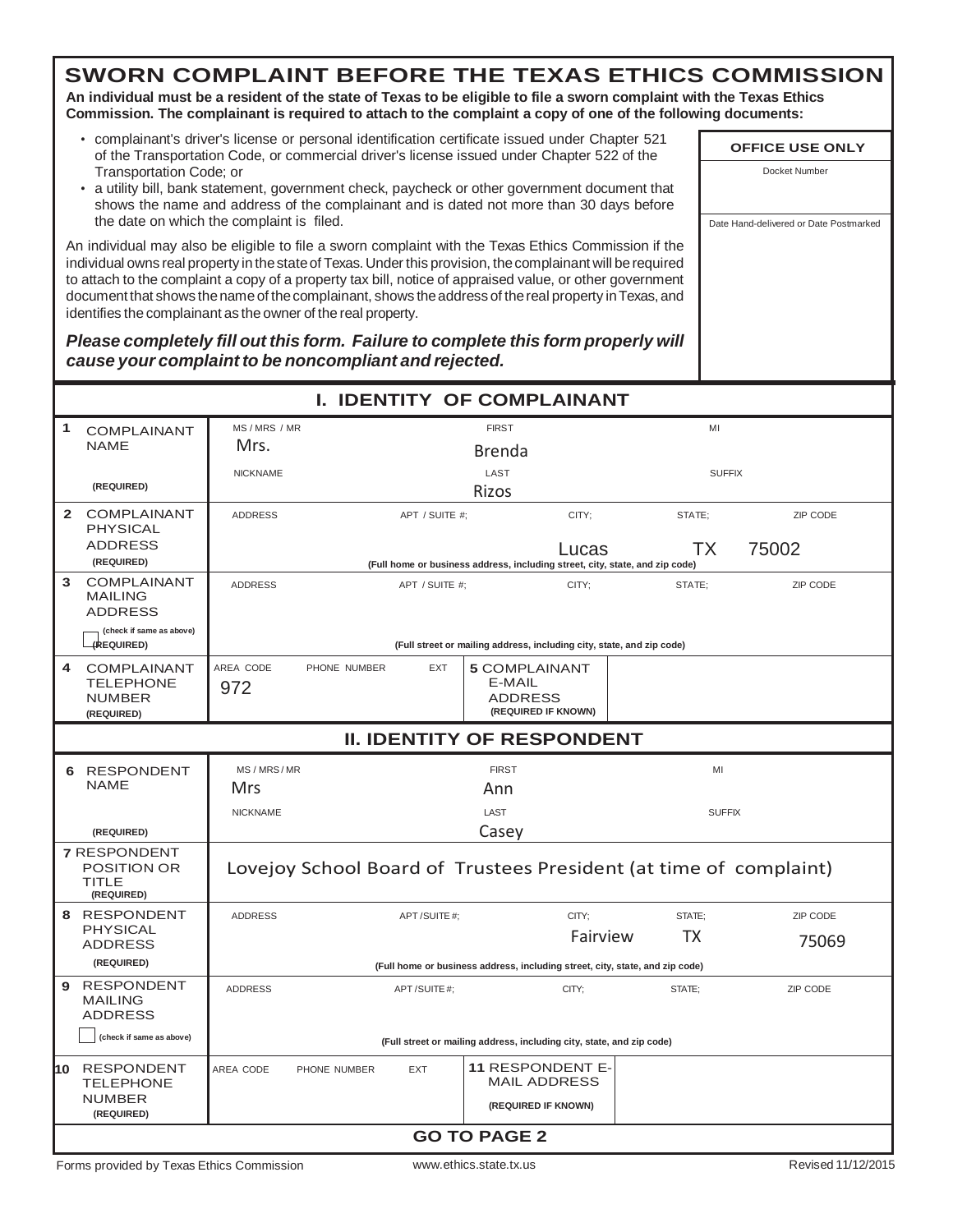**An individual must be a resident of the state of Texas to be eligible to file a sworn complaint with the Texas Ethics Commission. The complainant is required to attach to the complaint a copy of one of the following documents:**

- complainant's driver's license or personal identification certificate issued under Chapter 521 of the Transportation Code, or commercial driver's license issued under Chapter 522 of the Transportation Code; or
- a utility bill, bank statement, government check, paycheck or other government document that shows the name and address of the complainant and is dated not more than 30 days before the date on which the complaint is filed.

An individual may also be eligible to file a sworn complaint with the Texas Ethics Commission if the individual owns real property in the state of Texas. Under this provision, the complainant will be required to attach to the complaint a copy of a property tax bill, notice of appraised value, or other government document that shows the name of the complainant, shows the address of the real property in Texas, and identifies the complainant as the owner of the real property.

#### *Please completely fill out this form. Failure to complete this form properly will cause your complaint to be noncompliant and rejected.*

|              |                                                                  |                 | <b>I. IDENTITY OF COMPLAINANT</b>                                            |                          |                                                                       |                                                                              |                    |  |
|--------------|------------------------------------------------------------------|-----------------|------------------------------------------------------------------------------|--------------------------|-----------------------------------------------------------------------|------------------------------------------------------------------------------|--------------------|--|
| 1            | <b>COMPLAINANT</b>                                               | MS / MRS / MR   |                                                                              | <b>FIRST</b>             |                                                                       | MI                                                                           |                    |  |
|              | <b>NAME</b>                                                      | Mrs.            |                                                                              | Brenda                   |                                                                       |                                                                              |                    |  |
|              |                                                                  | <b>NICKNAME</b> |                                                                              | LAST                     |                                                                       | <b>SUFFIX</b>                                                                |                    |  |
|              | (REQUIRED)                                                       |                 |                                                                              | Rizos                    |                                                                       |                                                                              |                    |  |
| $\mathbf{2}$ | <b>COMPLAINANT</b><br><b>PHYSICAL</b>                            | <b>ADDRESS</b>  | APT / SUITE #:                                                               |                          | CITY:                                                                 | STATE:                                                                       | ZIP CODE           |  |
|              | <b>ADDRESS</b><br>(REQUIRED)                                     |                 | (Full home or business address, including street, city, state, and zip code) |                          | Lucas                                                                 | ТX                                                                           | 75002              |  |
| 3            | <b>COMPLAINANT</b>                                               | <b>ADDRESS</b>  | APT / SUITE #;                                                               |                          | CITY;                                                                 | STATE;                                                                       | ZIP CODE           |  |
|              | <b>MAILING</b><br><b>ADDRESS</b>                                 |                 |                                                                              |                          |                                                                       |                                                                              |                    |  |
|              | (check if same as above)<br>(REQUIRED)                           |                 |                                                                              |                          | (Full street or mailing address, including city, state, and zip code) |                                                                              |                    |  |
| 4            | <b>COMPLAINANT</b>                                               | AREA CODE       | PHONE NUMBER<br><b>EXT</b>                                                   | <b>5 COMPLAINANT</b>     |                                                                       |                                                                              |                    |  |
|              | <b>TELEPHONE</b>                                                 | 972             |                                                                              | E-MAIL<br><b>ADDRESS</b> |                                                                       |                                                                              |                    |  |
|              | <b>NUMBER</b><br>(REQUIRED)                                      |                 |                                                                              |                          | (REQUIRED IF KNOWN)                                                   |                                                                              |                    |  |
|              | <b>II. IDENTITY OF RESPONDENT</b>                                |                 |                                                                              |                          |                                                                       |                                                                              |                    |  |
|              | 6 RESPONDENT                                                     | MS / MRS / MR   |                                                                              | <b>FIRST</b>             |                                                                       | MI                                                                           |                    |  |
|              | <b>NAME</b>                                                      | Mrs             |                                                                              | Ann                      |                                                                       |                                                                              |                    |  |
|              |                                                                  | <b>NICKNAME</b> |                                                                              | LAST                     |                                                                       | <b>SUFFIX</b>                                                                |                    |  |
|              | (REQUIRED)                                                       |                 |                                                                              | Casey                    |                                                                       |                                                                              |                    |  |
|              | <b>7 RESPONDENT</b><br><b>POSITION OR</b><br>TITLE<br>(REQUIRED) |                 | Lovejoy School Board of Trustees President (at time of complaint)            |                          |                                                                       |                                                                              |                    |  |
|              | 8 RESPONDENT                                                     | <b>ADDRESS</b>  | APT/SUITE#:                                                                  |                          | CITY:                                                                 | STATE:                                                                       | ZIP CODE           |  |
|              | <b>PHYSICAL</b><br><b>ADDRESS</b>                                |                 |                                                                              |                          | Fairview                                                              | ТX                                                                           | 75069              |  |
|              | (REQUIRED)                                                       |                 |                                                                              |                          |                                                                       | (Full home or business address, including street, city, state, and zip code) |                    |  |
| 9            | <b>RESPONDENT</b><br><b>MAILING</b><br><b>ADDRESS</b>            | <b>ADDRESS</b>  | APT/SUITE#:                                                                  |                          | CITY:                                                                 | STATE:                                                                       | ZIP CODE           |  |
|              | (check if same as above)                                         |                 |                                                                              |                          | (Full street or mailing address, including city, state, and zip code) |                                                                              |                    |  |
| 10           | <b>RESPONDENT</b><br><b>TELEPHONE</b>                            | AREA CODE       | PHONE NUMBER<br>EXT                                                          |                          | <b>11 RESPONDENT E-</b><br><b>MAIL ADDRESS</b>                        |                                                                              |                    |  |
|              | <b>NUMBER</b><br>(REQUIRED)                                      |                 |                                                                              |                          | (REQUIRED IF KNOWN)                                                   |                                                                              |                    |  |
|              |                                                                  |                 |                                                                              | <b>GO TO PAGE 2</b>      |                                                                       |                                                                              |                    |  |
|              | Forms provided by Texas Ethics Commission                        |                 |                                                                              | www.ethics.state.tx.us   |                                                                       |                                                                              | Revised 11/12/2015 |  |

**OFFICE USE ONLY** Docket Number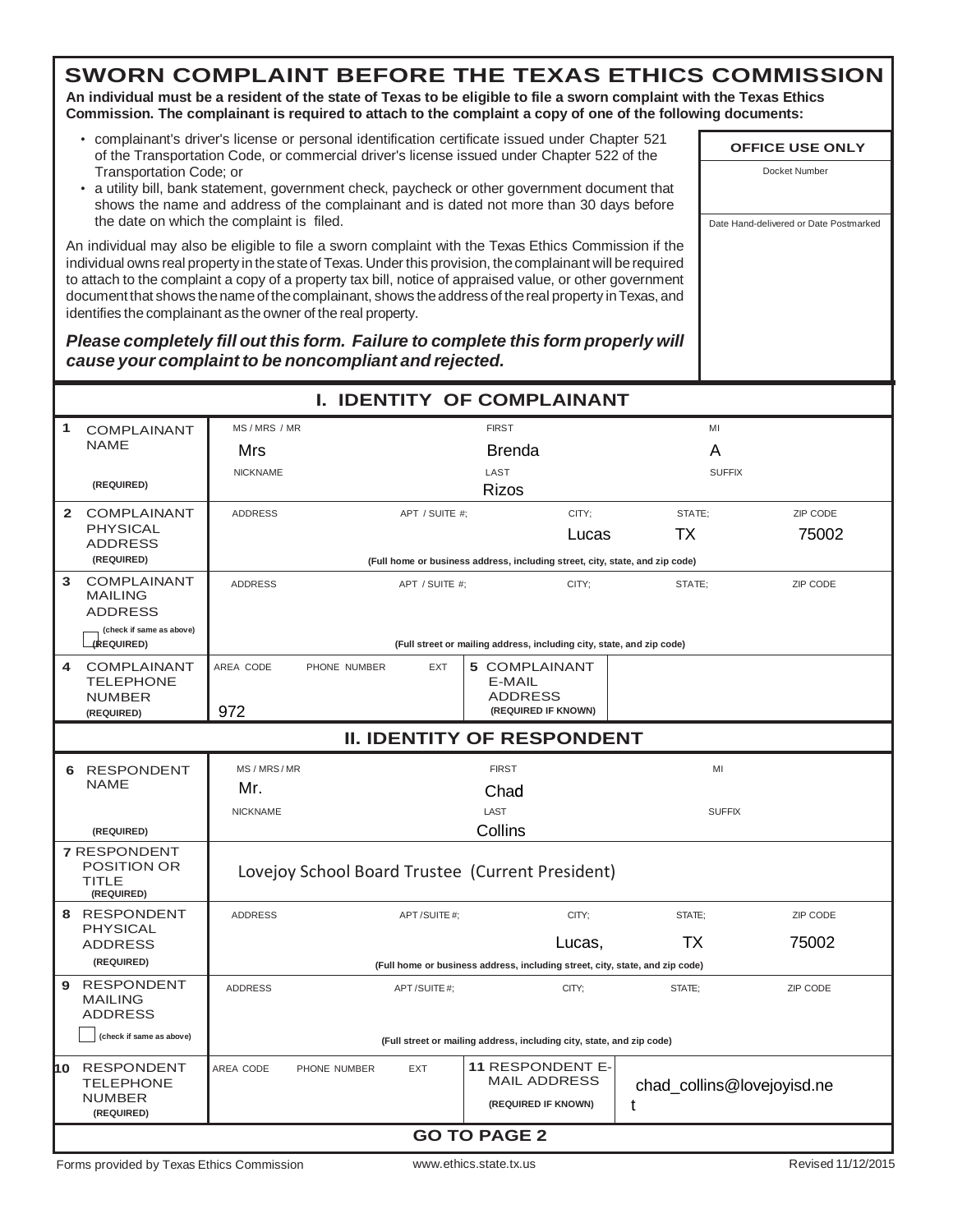**An individual must be a resident of the state of Texas to be eligible to file a sworn complaint with the Texas Ethics Commission. The complainant is required to attach to the complaint a copy of one of the following documents:**

- complainant's driver's license or personal identification certificate issued under Chapter 521 of the Transportation Code, or commercial driver's license issued under Chapter 522 of the Transportation Code; or
- a utility bill, bank statement, government check, paycheck or other government document that shows the name and address of the complainant and is dated not more than 30 days before the date on which the complaint is filed.

An individual may also be eligible to file a sworn complaint with the Texas Ethics Commission if the individual owns real property in the state of Texas. Under this provision, the complainant will be required to attach to the complaint a copy of a property tax bill, notice of appraised value, or other government document that shows the name of the complainant, shows the address of the real property in Texas, and identifies the complainant as the owner of the real property.

*Please completely fill out this form. Failure to complete this form properly will cause your complaint to be noncompliant and rejected.*

| <b>I. IDENTITY OF COMPLAINANT</b>                                       |                                 |                                                                                                                                 |                         |                                                                              |        |               |          |  |
|-------------------------------------------------------------------------|---------------------------------|---------------------------------------------------------------------------------------------------------------------------------|-------------------------|------------------------------------------------------------------------------|--------|---------------|----------|--|
| 1<br><b>COMPLAINANT</b>                                                 | MS/MRS/MR                       |                                                                                                                                 |                         | <b>FIRST</b>                                                                 |        | MI            |          |  |
| <b>NAME</b>                                                             | Mrs                             | Brenda                                                                                                                          |                         |                                                                              | A      |               |          |  |
|                                                                         | <b>NICKNAME</b>                 |                                                                                                                                 |                         | LAST                                                                         |        | <b>SUFFIX</b> |          |  |
| (REQUIRED)                                                              |                                 |                                                                                                                                 |                         | <b>Rizos</b>                                                                 |        |               |          |  |
| 2 COMPLAINANT                                                           | <b>ADDRESS</b>                  |                                                                                                                                 | APT / SUITE #:          |                                                                              | CITY;  | STATE:        | ZIP CODE |  |
| <b>PHYSICAL</b><br><b>ADDRESS</b>                                       |                                 |                                                                                                                                 |                         |                                                                              | Lucas  | ТX            | 75002    |  |
| (REQUIRED)                                                              |                                 |                                                                                                                                 |                         | (Full home or business address, including street, city, state, and zip code) |        |               |          |  |
| <b>COMPLAINANT</b><br>3<br><b>MAILING</b><br><b>ADDRESS</b>             | <b>ADDRESS</b>                  |                                                                                                                                 | APT / SUITE #:<br>CITY; |                                                                              |        | STATE:        | ZIP CODE |  |
| (check if same as above)<br>(REQUIRED)                                  |                                 |                                                                                                                                 |                         | (Full street or mailing address, including city, state, and zip code)        |        |               |          |  |
| <b>COMPLAINANT</b><br>4<br><b>TELEPHONE</b><br><b>NUMBER</b>            | AREA CODE                       | PHONE NUMBER                                                                                                                    | <b>EXT</b>              | <b>5 COMPLAINANT</b><br>E-MAIL<br><b>ADDRESS</b>                             |        |               |          |  |
| (REQUIRED)                                                              | 972                             |                                                                                                                                 |                         | (REQUIRED IF KNOWN)                                                          |        |               |          |  |
| <b>II. IDENTITY OF RESPONDENT</b>                                       |                                 |                                                                                                                                 |                         |                                                                              |        |               |          |  |
| 6 RESPONDENT                                                            | MS/MRS/MR<br><b>FIRST</b><br>MI |                                                                                                                                 |                         |                                                                              |        |               |          |  |
| <b>NAME</b>                                                             | Mr.                             |                                                                                                                                 |                         | Chad                                                                         |        |               |          |  |
|                                                                         | <b>NICKNAME</b>                 |                                                                                                                                 |                         | LAST                                                                         |        | <b>SUFFIX</b> |          |  |
| (REQUIRED)                                                              |                                 |                                                                                                                                 |                         | Collins                                                                      |        |               |          |  |
| <b>7 RESPONDENT</b><br><b>POSITION OR</b><br><b>TITLE</b><br>(REQUIRED) |                                 | Lovejoy School Board Trustee (Current President)                                                                                |                         |                                                                              |        |               |          |  |
| 8 RESPONDENT                                                            | <b>ADDRESS</b>                  |                                                                                                                                 | APT/SUITE#:             |                                                                              | CITY:  | STATE:        | ZIP CODE |  |
| <b>PHYSICAL</b><br><b>ADDRESS</b>                                       |                                 |                                                                                                                                 |                         |                                                                              | Lucas, | ТX            | 75002    |  |
| (REQUIRED)                                                              |                                 |                                                                                                                                 |                         | (Full home or business address, including street, city, state, and zip code) |        |               |          |  |
| <b>RESPONDENT</b><br>9<br><b>MAILING</b><br><b>ADDRESS</b>              | <b>ADDRESS</b>                  |                                                                                                                                 | APT/SUITE#;             |                                                                              | CITY:  | STATE:        | ZIP CODE |  |
| (check if same as above)                                                |                                 |                                                                                                                                 |                         | (Full street or mailing address, including city, state, and zip code)        |        |               |          |  |
| 10 RESPONDENT<br><b>TELEPHONE</b><br><b>NUMBER</b><br>(REQUIRED)        | AREA CODE                       | <b>11 RESPONDENT E-</b><br>PHONE NUMBER<br>EXT<br><b>MAIL ADDRESS</b><br>chad_collins@lovejoyisd.ne<br>(REQUIRED IF KNOWN)<br>t |                         |                                                                              |        |               |          |  |
|                                                                         |                                 |                                                                                                                                 |                         | <b>GO TO PAGE 2</b>                                                          |        |               |          |  |

Forms provided by Texas Ethics Commission **by a matter [www.ethics.state.tx.us](http://www.ethics.state.tx.us/)** Revised 11/12/2015

**OFFICE USE ONLY** Docket Number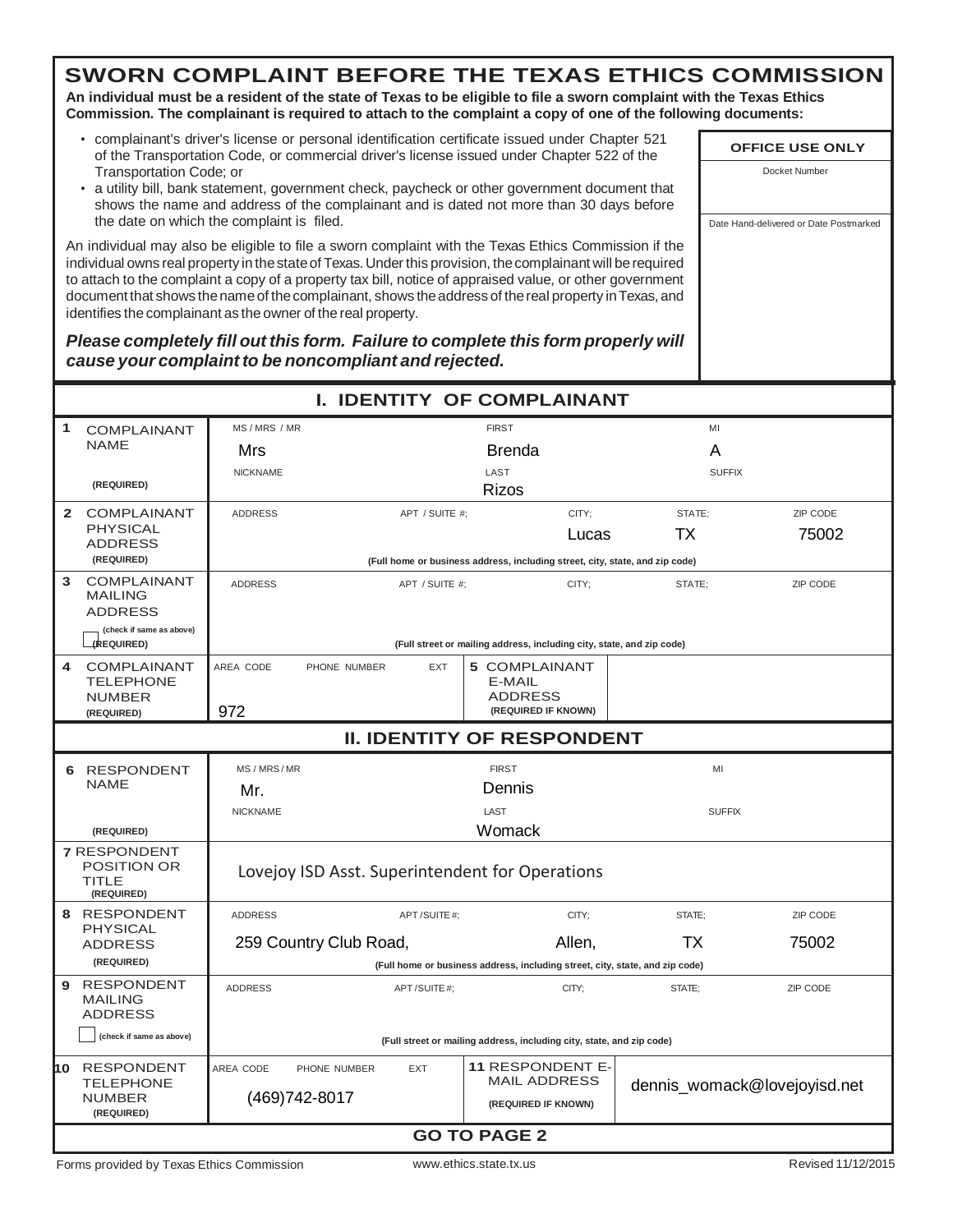**An individual must be a resident of the state of Texas to be eligible to file a sworn complaint with the Texas Ethics Commission. The complainant is required to attach to the complaint a copy of one of the following documents:**

- complainant's driver's license or personal identification certificate issued under Chapter 521 of the Transportation Code, or commercial driver's license issued under Chapter 522 of the Transportation Code; or
- a utility bill, bank statement, government check, paycheck or other government document that shows the name and address of the complainant and is dated not more than 30 days before the date on which the complaint is filed.

An individual may also be eligible to file a sworn complaint with the Texas Ethics Commission if the individual owns real property in thestateof Texas.Underthis provision, thecomplainant will berequired to attach to the complaint a copy of a property tax bill, notice of appraised value, or other government document that shows the name of the complainant, shows the address of the real property in Texas, and identifies the complainant as the owner of the real property.

*Please completely fill out this form. Failure to complete this form properly will cause your complaint to be noncompliant and rejected.*

| <b>I. IDENTITY OF COMPLAINANT</b>                                       |                                                                                                                                                                    |                |                                                                              |               |               |  |  |  |
|-------------------------------------------------------------------------|--------------------------------------------------------------------------------------------------------------------------------------------------------------------|----------------|------------------------------------------------------------------------------|---------------|---------------|--|--|--|
| 1<br><b>COMPLAINANT</b>                                                 | MS/MRS/MR                                                                                                                                                          |                | <b>FIRST</b>                                                                 | MI            |               |  |  |  |
| <b>NAME</b>                                                             | Mrs                                                                                                                                                                |                | <b>Brenda</b>                                                                | A             |               |  |  |  |
|                                                                         | <b>NICKNAME</b>                                                                                                                                                    |                | LAST                                                                         |               | <b>SUFFIX</b> |  |  |  |
| (REQUIRED)                                                              |                                                                                                                                                                    |                | <b>Rizos</b>                                                                 |               |               |  |  |  |
| $\mathbf{2}$<br>COMPLAINANT                                             | <b>ADDRESS</b>                                                                                                                                                     | APT / SUITE #: | CITY:                                                                        | STATE:        | ZIP CODE      |  |  |  |
| <b>PHYSICAL</b><br>ADDRESS                                              |                                                                                                                                                                    |                | Lucas                                                                        | ТX            | 75002         |  |  |  |
| (REQUIRED)                                                              |                                                                                                                                                                    |                | (Full home or business address, including street, city, state, and zip code) |               |               |  |  |  |
| <b>COMPLAINANT</b><br>3<br><b>MAILING</b><br><b>ADDRESS</b>             | <b>ADDRESS</b>                                                                                                                                                     | APT / SUITE #: | CITY;                                                                        | STATE:        | ZIP CODE      |  |  |  |
| (check if same as above)<br>(REQUIRED)                                  |                                                                                                                                                                    |                | (Full street or mailing address, including city, state, and zip code)        |               |               |  |  |  |
| <b>COMPLAINANT</b><br>4<br><b>TELEPHONE</b><br><b>NUMBER</b>            | AREA CODE<br>PHONE NUMBER                                                                                                                                          | EXT            | <b>5 COMPLAINANT</b><br>E-MAIL<br><b>ADDRESS</b>                             |               |               |  |  |  |
| (REQUIRED)                                                              | 972                                                                                                                                                                |                | (REQUIRED IF KNOWN)                                                          |               |               |  |  |  |
| <b>II. IDENTITY OF RESPONDENT</b>                                       |                                                                                                                                                                    |                |                                                                              |               |               |  |  |  |
| 6 RESPONDENT                                                            | MS/MRS/MR                                                                                                                                                          |                | <b>FIRST</b>                                                                 | MI            |               |  |  |  |
| <b>NAME</b>                                                             | Mr.                                                                                                                                                                |                | Dennis                                                                       |               |               |  |  |  |
|                                                                         | <b>NICKNAME</b>                                                                                                                                                    |                | LAST                                                                         | <b>SUFFIX</b> |               |  |  |  |
| (REQUIRED)                                                              |                                                                                                                                                                    |                | Womack                                                                       |               |               |  |  |  |
| <b>7 RESPONDENT</b><br><b>POSITION OR</b><br><b>TITLE</b><br>(REQUIRED) | Lovejoy ISD Asst. Superintendent for Operations                                                                                                                    |                |                                                                              |               |               |  |  |  |
| 8 RESPONDENT                                                            | <b>ADDRESS</b>                                                                                                                                                     | APT / SUITE #: | CITY:                                                                        | STATE:        | ZIP CODE      |  |  |  |
| <b>PHYSICAL</b><br><b>ADDRESS</b>                                       | 259 Country Club Road,                                                                                                                                             |                | Allen,                                                                       | ТX            | 75002         |  |  |  |
| (REQUIRED)                                                              |                                                                                                                                                                    |                | (Full home or business address, including street, city, state, and zip code) |               |               |  |  |  |
| 9 RESPONDENT<br><b>MAILING</b><br><b>ADDRESS</b>                        | <b>ADDRESS</b>                                                                                                                                                     | APT/SUITE#;    | CITY:                                                                        | STATE:        | ZIP CODE      |  |  |  |
| (check if same as above)                                                |                                                                                                                                                                    |                | (Full street or mailing address, including city, state, and zip code)        |               |               |  |  |  |
| 10 RESPONDENT<br><b>TELEPHONE</b><br><b>NUMBER</b><br>(REQUIRED)        | <b>11 RESPONDENT E-</b><br>AREA CODE<br>PHONE NUMBER<br><b>EXT</b><br><b>MAIL ADDRESS</b><br>dennis_womack@lovejoyisd.net<br>(469) 742-8017<br>(REQUIRED IF KNOWN) |                |                                                                              |               |               |  |  |  |
|                                                                         |                                                                                                                                                                    |                | <b>GO TO PAGE 2</b>                                                          |               |               |  |  |  |

**OFFICE USE ONLY** Docket Number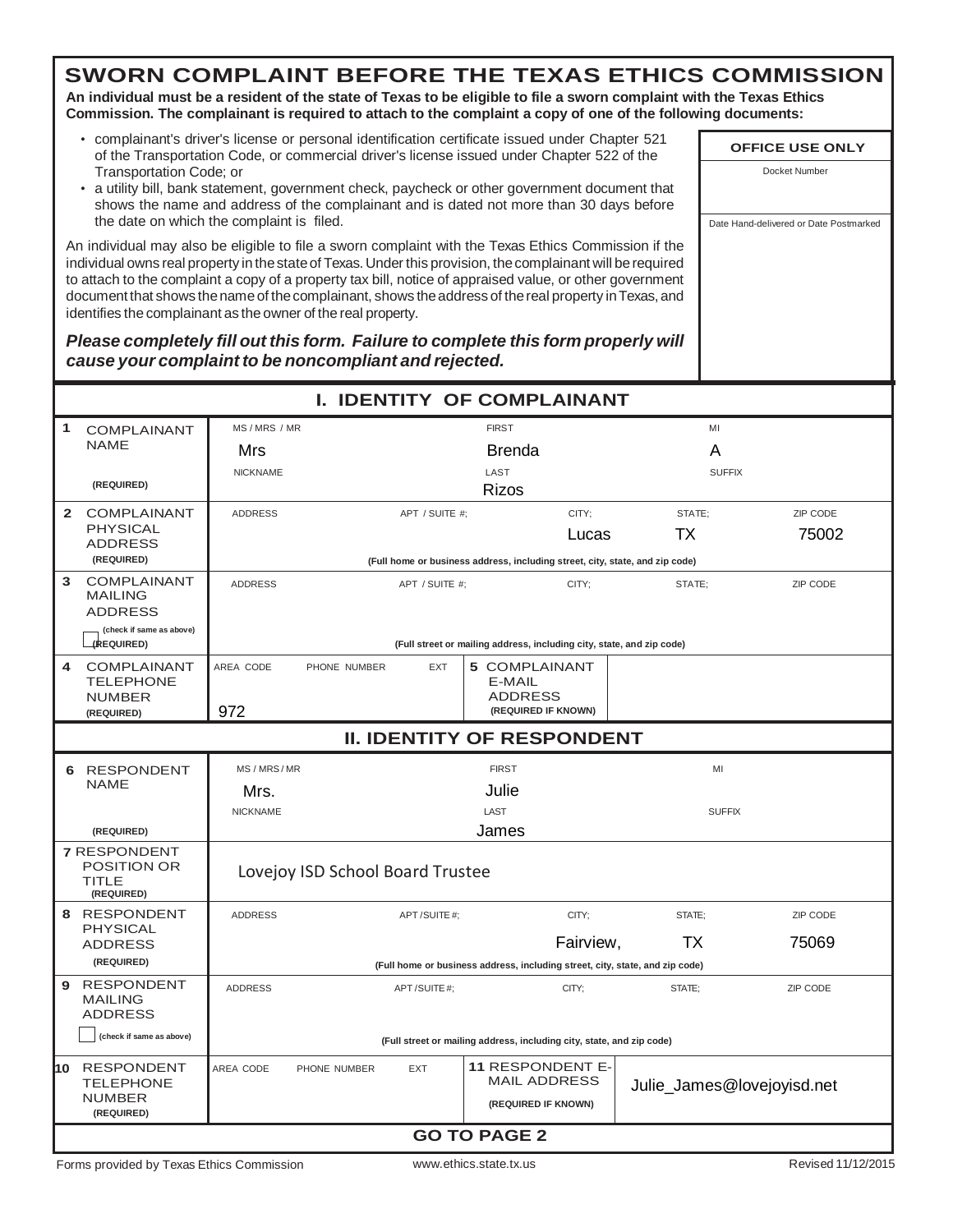**An individual must be a resident of the state of Texas to be eligible to file a sworn complaint with the Texas Ethics Commission. The complainant is required to attach to the complaint a copy of one of the following documents:**

- complainant's driver's license or personal identification certificate issued under Chapter 521 of the Transportation Code, or commercial driver's license issued under Chapter 522 of the Transportation Code; or
- a utility bill, bank statement, government check, paycheck or other government document that shows the name and address of the complainant and is dated not more than 30 days before the date on which the complaint is filed.

An individual may also be eligible to file a sworn complaint with the Texas Ethics Commission if the individual owns real property in the state of Texas. Under this provision, the complainant will be required to attach to the complaint a copy of a property tax bill, notice of appraised value, or other government document that shows the name of the complainant, shows the address of the real property in Texas, and identifies the complainant as the owner of the real property.

*Please completely fill out this form. Failure to complete this form properly will cause your complaint to be noncompliant and rejected.*

| MS/MRS/MR<br>1<br><b>FIRST</b><br>MI<br><b>COMPLAINANT</b><br><b>NAME</b><br>A<br>Mrs<br>Brenda<br>LAST<br><b>NICKNAME</b><br><b>SUFFIX</b><br>(REQUIRED)<br>Rizos<br>2 COMPLAINANT<br>CITY:<br>STATE:<br><b>ADDRESS</b><br>APT / SUITE #:<br><b>PHYSICAL</b><br>ТX<br>Lucas<br><b>ADDRESS</b><br>(REQUIRED)<br>(Full home or business address, including street, city, state, and zip code) |                            |  |  |  |  |
|----------------------------------------------------------------------------------------------------------------------------------------------------------------------------------------------------------------------------------------------------------------------------------------------------------------------------------------------------------------------------------------------|----------------------------|--|--|--|--|
|                                                                                                                                                                                                                                                                                                                                                                                              |                            |  |  |  |  |
|                                                                                                                                                                                                                                                                                                                                                                                              |                            |  |  |  |  |
|                                                                                                                                                                                                                                                                                                                                                                                              |                            |  |  |  |  |
|                                                                                                                                                                                                                                                                                                                                                                                              |                            |  |  |  |  |
|                                                                                                                                                                                                                                                                                                                                                                                              | ZIP CODE                   |  |  |  |  |
|                                                                                                                                                                                                                                                                                                                                                                                              | 75002                      |  |  |  |  |
|                                                                                                                                                                                                                                                                                                                                                                                              |                            |  |  |  |  |
| <b>COMPLAINANT</b><br>3<br><b>ADDRESS</b><br>APT / SUITE #;<br>CITY;<br>STATE:<br><b>MAILING</b><br><b>ADDRESS</b>                                                                                                                                                                                                                                                                           | ZIP CODE                   |  |  |  |  |
| (check if same as above)<br>(REQUIRED)<br>(Full street or mailing address, including city, state, and zip code)                                                                                                                                                                                                                                                                              |                            |  |  |  |  |
| <b>COMPLAINANT</b><br>AREA CODE<br>PHONE NUMBER<br>EXT<br><b>5 COMPLAINANT</b><br>4<br><b>TELEPHONE</b><br>E-MAIL<br><b>ADDRESS</b><br><b>NUMBER</b>                                                                                                                                                                                                                                         |                            |  |  |  |  |
| 972<br>(REQUIRED IF KNOWN)<br>(REQUIRED)                                                                                                                                                                                                                                                                                                                                                     |                            |  |  |  |  |
| <b>II. IDENTITY OF RESPONDENT</b>                                                                                                                                                                                                                                                                                                                                                            |                            |  |  |  |  |
| 6 RESPONDENT<br>MS/MRS/MR<br><b>FIRST</b><br>MI                                                                                                                                                                                                                                                                                                                                              |                            |  |  |  |  |
| <b>NAME</b><br>Julie<br>Mrs.                                                                                                                                                                                                                                                                                                                                                                 |                            |  |  |  |  |
| LAST<br><b>SUFFIX</b><br><b>NICKNAME</b>                                                                                                                                                                                                                                                                                                                                                     |                            |  |  |  |  |
| James<br>(REQUIRED)                                                                                                                                                                                                                                                                                                                                                                          |                            |  |  |  |  |
| <b>7 RESPONDENT</b><br><b>POSITION OR</b><br>Lovejoy ISD School Board Trustee<br>TITLE<br>(REQUIRED)                                                                                                                                                                                                                                                                                         |                            |  |  |  |  |
| 8 RESPONDENT<br>CITY:<br>ZIP CODE<br><b>ADDRESS</b><br>APT / SUITE #:<br>STATE:                                                                                                                                                                                                                                                                                                              |                            |  |  |  |  |
| <b>PHYSICAL</b><br>75069<br>Fairview,<br>TX.<br><b>ADDRESS</b>                                                                                                                                                                                                                                                                                                                               |                            |  |  |  |  |
| (REQUIRED)<br>(Full home or business address, including street, city, state, and zip code)                                                                                                                                                                                                                                                                                                   |                            |  |  |  |  |
| <b>RESPONDENT</b><br>9<br><b>ADDRESS</b><br>APT/SUITE#:<br>CITY:<br>STATE:<br>ZIP CODE<br><b>MAILING</b><br><b>ADDRESS</b>                                                                                                                                                                                                                                                                   |                            |  |  |  |  |
| (check if same as above)<br>(Full street or mailing address, including city, state, and zip code)                                                                                                                                                                                                                                                                                            |                            |  |  |  |  |
| <b>11 RESPONDENT E-</b><br>10 RESPONDENT<br>AREA CODE<br>PHONE NUMBER<br><b>EXT</b><br><b>MAIL ADDRESS</b><br><b>TELEPHONE</b><br><b>NUMBER</b><br>(REQUIRED IF KNOWN)<br>(REQUIRED)                                                                                                                                                                                                         | Julie_James@lovejoyisd.net |  |  |  |  |
| <b>GO TO PAGE 2</b>                                                                                                                                                                                                                                                                                                                                                                          |                            |  |  |  |  |

**OFFICE USE ONLY** Docket Number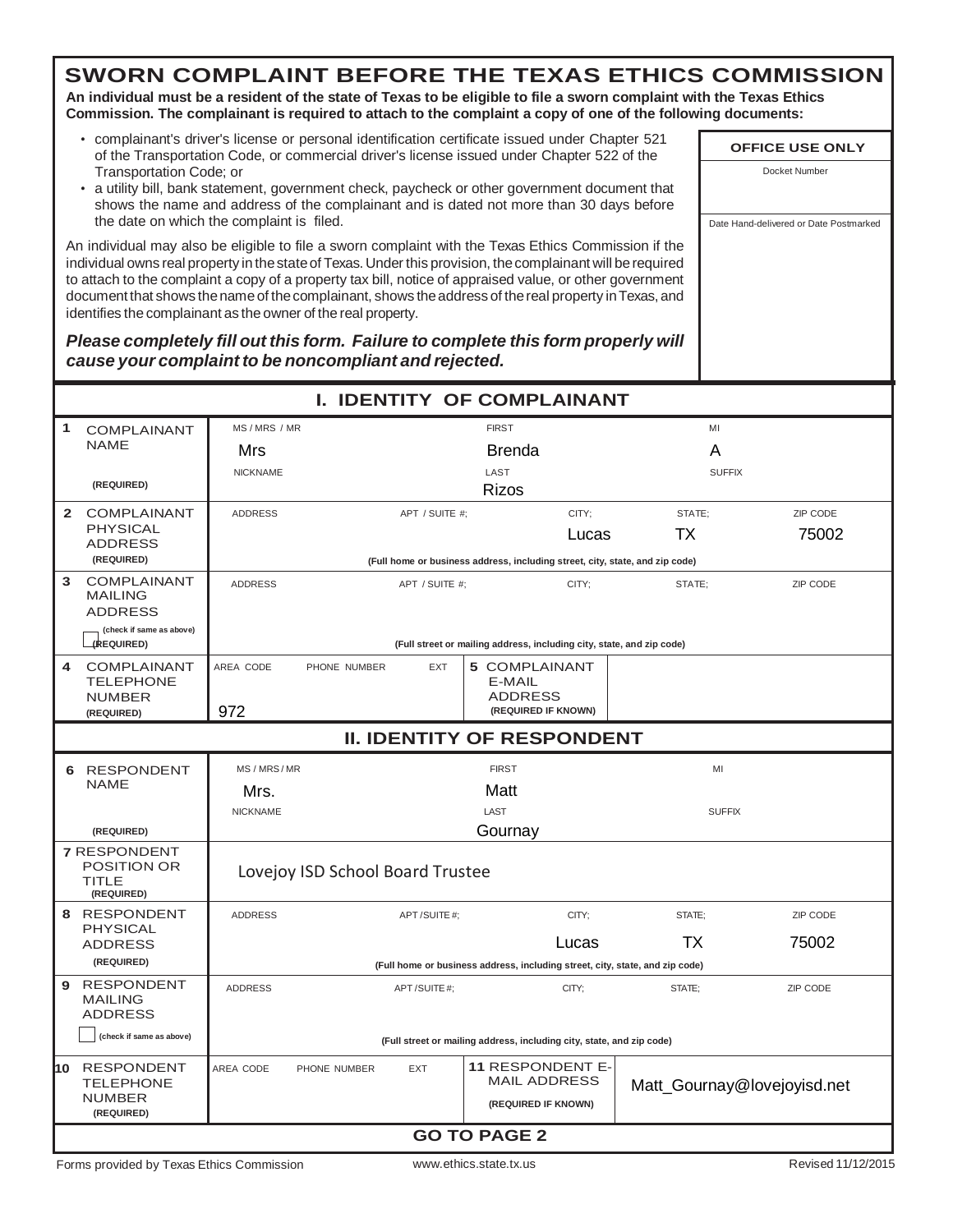**An individual must be a resident of the state of Texas to be eligible to file a sworn complaint with the Texas Ethics Commission. The complainant is required to attach to the complaint a copy of one of the following documents:**

- complainant's driver's license or personal identification certificate issued under Chapter 521 of the Transportation Code, or commercial driver's license issued under Chapter 522 of the Transportation Code; or
- a utility bill, bank statement, government check, paycheck or other government document that shows the name and address of the complainant and is dated not more than 30 days before the date on which the complaint is filed.

An individual may also be eligible to file a sworn complaint with the Texas Ethics Commission if the individual owns real property in the state of Texas. Under this provision, the complainant will be required to attach to the complaint a copy of a property tax bill, notice of appraised value, or other government document that shows the name of the complainant, shows the address of the real property in Texas, and identifies the complainant as the owner of the real property.

*Please completely fill out this form. Failure to complete this form properly will cause your complaint to be noncompliant and rejected.*

|                                                                  |                                                                                                                                          |                                  |                | I. IDENTITY OF COMPLAINANT                                                   |       |                                                                              |          |  |
|------------------------------------------------------------------|------------------------------------------------------------------------------------------------------------------------------------------|----------------------------------|----------------|------------------------------------------------------------------------------|-------|------------------------------------------------------------------------------|----------|--|
| 1<br><b>COMPLAINANT</b>                                          | MS/MRS/MR                                                                                                                                |                                  |                | <b>FIRST</b>                                                                 |       | MI                                                                           |          |  |
| <b>NAME</b>                                                      | Mrs                                                                                                                                      |                                  | Brenda         |                                                                              |       | A                                                                            |          |  |
|                                                                  | <b>NICKNAME</b>                                                                                                                          | LAST<br><b>SUFFIX</b>            |                |                                                                              |       |                                                                              |          |  |
| (REQUIRED)                                                       |                                                                                                                                          |                                  |                | Rizos                                                                        |       |                                                                              |          |  |
| 2 COMPLAINANT                                                    | <b>ADDRESS</b>                                                                                                                           |                                  | APT / SUITE #: |                                                                              | CITY: | STATE:                                                                       | ZIP CODE |  |
| <b>PHYSICAL</b><br><b>ADDRESS</b>                                |                                                                                                                                          |                                  |                |                                                                              | Lucas | ТX                                                                           | 75002    |  |
| (REQUIRED)                                                       |                                                                                                                                          |                                  |                | (Full home or business address, including street, city, state, and zip code) |       |                                                                              |          |  |
| <b>COMPLAINANT</b><br>3<br><b>MAILING</b><br><b>ADDRESS</b>      | <b>ADDRESS</b>                                                                                                                           |                                  | APT / SUITE #: |                                                                              | CITY; | STATE:                                                                       | ZIP CODE |  |
| (check if same as above)<br>(REQUIRED)                           |                                                                                                                                          |                                  |                | (Full street or mailing address, including city, state, and zip code)        |       |                                                                              |          |  |
| <b>COMPLAINANT</b><br>4<br><b>TELEPHONE</b>                      | AREA CODE                                                                                                                                | PHONE NUMBER                     | EXT            | <b>5 COMPLAINANT</b><br>E-MAIL                                               |       |                                                                              |          |  |
| <b>NUMBER</b>                                                    |                                                                                                                                          |                                  |                | <b>ADDRESS</b>                                                               |       |                                                                              |          |  |
| 972<br>(REQUIRED IF KNOWN)<br>(REQUIRED)                         |                                                                                                                                          |                                  |                |                                                                              |       |                                                                              |          |  |
| <b>II. IDENTITY OF RESPONDENT</b>                                |                                                                                                                                          |                                  |                |                                                                              |       |                                                                              |          |  |
| 6 RESPONDENT                                                     | MS / MRS / MR                                                                                                                            |                                  |                | <b>FIRST</b>                                                                 |       | MI                                                                           |          |  |
| <b>NAME</b>                                                      | Mrs.                                                                                                                                     |                                  |                | Matt                                                                         |       |                                                                              |          |  |
|                                                                  | <b>NICKNAME</b>                                                                                                                          |                                  |                | LAST                                                                         |       | <b>SUFFIX</b>                                                                |          |  |
| (REQUIRED)                                                       |                                                                                                                                          |                                  |                | Gournay                                                                      |       |                                                                              |          |  |
| <b>7 RESPONDENT</b><br>POSITION OR<br><b>TITLE</b><br>(REQUIRED) |                                                                                                                                          | Lovejoy ISD School Board Trustee |                |                                                                              |       |                                                                              |          |  |
| 8 RESPONDENT<br><b>PHYSICAL</b>                                  | <b>ADDRESS</b>                                                                                                                           |                                  | APT/SUITE #:   |                                                                              | CITY: | STATE:                                                                       | ZIP CODE |  |
| <b>ADDRESS</b>                                                   |                                                                                                                                          |                                  |                |                                                                              | Lucas | ТX                                                                           | 75002    |  |
| (REQUIRED)                                                       |                                                                                                                                          |                                  |                |                                                                              |       | (Full home or business address, including street, city, state, and zip code) |          |  |
| 9 RESPONDENT<br><b>MAILING</b><br><b>ADDRESS</b>                 | <b>ADDRESS</b>                                                                                                                           |                                  | APT/SUITE#;    |                                                                              | CITY: | STATE:                                                                       | ZIP CODE |  |
| (check if same as above)                                         |                                                                                                                                          |                                  |                | (Full street or mailing address, including city, state, and zip code)        |       |                                                                              |          |  |
| 10 RESPONDENT<br><b>TELEPHONE</b><br><b>NUMBER</b><br>(REQUIRED) | 11 RESPONDENT E-<br>AREA CODE<br>PHONE NUMBER<br><b>EXT</b><br><b>MAIL ADDRESS</b><br>Matt_Gournay@lovejoyisd.net<br>(REQUIRED IF KNOWN) |                                  |                |                                                                              |       |                                                                              |          |  |
|                                                                  |                                                                                                                                          |                                  |                | <b>GO TO PAGE 2</b>                                                          |       |                                                                              |          |  |

**OFFICE USE ONLY** Docket Number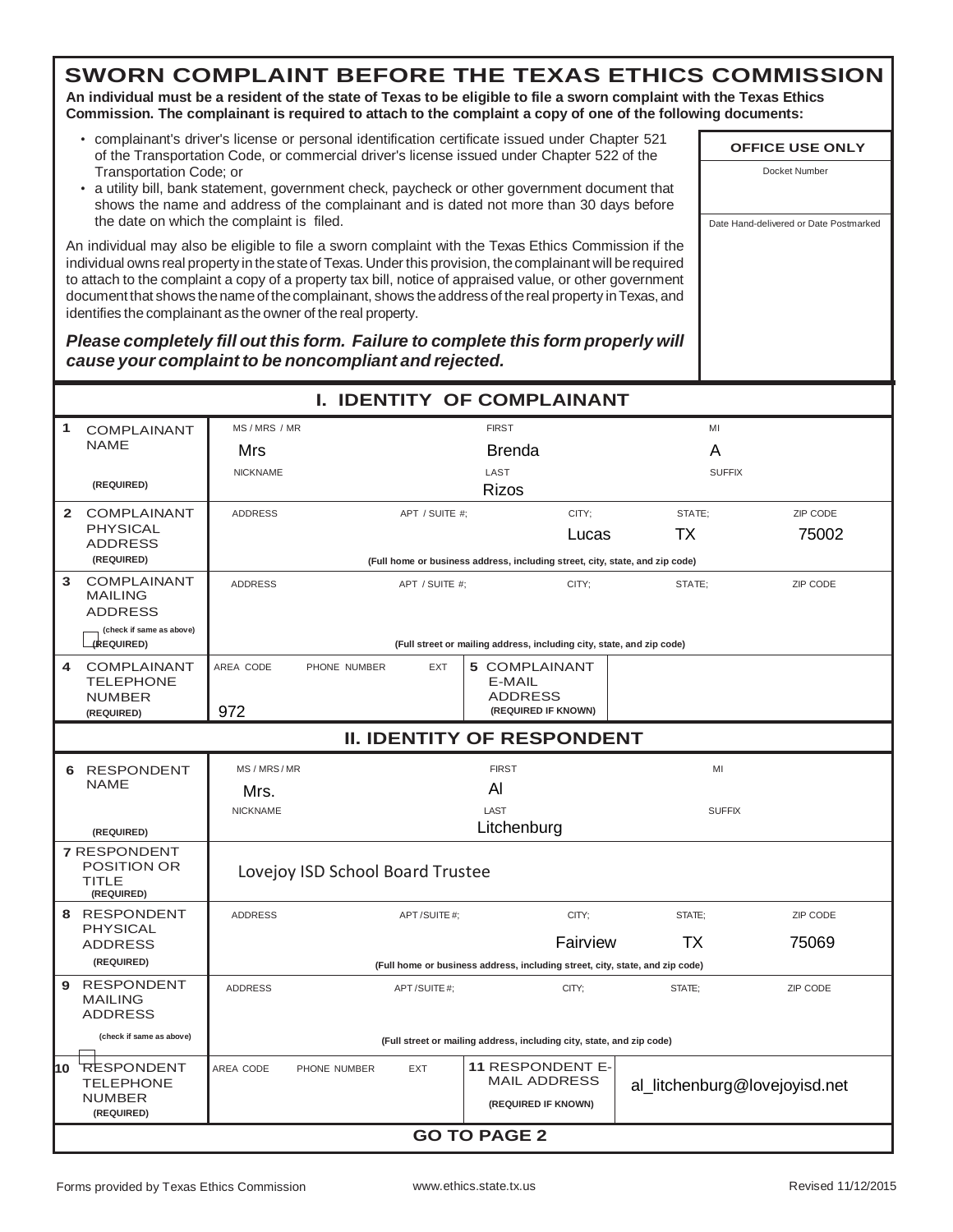**An individual must be a resident of the state of Texas to be eligible to file a sworn complaint with the Texas Ethics Commission. The complainant is required to attach to the complaint a copy of one of the following documents:**

- complainant's driver's license or personal identification certificate issued under Chapter 521 of the Transportation Code, or commercial driver's license issued under Chapter 522 of the Transportation Code; or
- a utility bill, bank statement, government check, paycheck or other government document that shows the name and address of the complainant and is dated not more than 30 days before the date on which the complaint is filed.

An individual may also be eligible to file a sworn complaint with the Texas Ethics Commission if the individual owns real property in thestateof Texas.Underthis provision, thecomplainant will berequired to attach to the complaint a copy of a property tax bill, notice of appraised value, or other government document that shows the name of the complainant, shows the address of the real property in Texas, and identifies the complainant as the owner of the real property.

*Please completely fill out this form. Failure to complete this form properly will cause your complaint to be noncompliant and rejected.*

|   |                                                                  |                                     |                                  |                     |              | <b>I. IDENTITY OF COMPLAINANT</b>                                            |               |                               |  |
|---|------------------------------------------------------------------|-------------------------------------|----------------------------------|---------------------|--------------|------------------------------------------------------------------------------|---------------|-------------------------------|--|
| 1 | <b>COMPLAINANT</b>                                               | MS/MRS/MR                           |                                  |                     | <b>FIRST</b> |                                                                              | MI            |                               |  |
|   | <b>NAME</b>                                                      | Mrs                                 |                                  |                     |              | Brenda                                                                       | A             |                               |  |
|   |                                                                  | <b>NICKNAME</b>                     |                                  |                     | LAST         |                                                                              | <b>SUFFIX</b> |                               |  |
|   | (REQUIRED)                                                       |                                     |                                  |                     |              | <b>Rizos</b>                                                                 |               |                               |  |
|   | 2 COMPLAINANT                                                    | <b>ADDRESS</b>                      |                                  | APT / SUITE #:      |              | CITY:                                                                        | STATE:        | ZIP CODE                      |  |
|   | <b>PHYSICAL</b><br><b>ADDRESS</b>                                |                                     |                                  |                     |              | Lucas                                                                        | ТX            | 75002                         |  |
|   | (REQUIRED)                                                       |                                     |                                  |                     |              | (Full home or business address, including street, city, state, and zip code) |               |                               |  |
| 3 | <b>COMPLAINANT</b><br><b>MAILING</b><br><b>ADDRESS</b>           | <b>ADDRESS</b>                      |                                  | APT / SUITE #;      |              | CITY;                                                                        | STATE;        | ZIP CODE                      |  |
|   | (check if same as above)<br>(REQUIRED)                           |                                     |                                  |                     |              | (Full street or mailing address, including city, state, and zip code)        |               |                               |  |
| 4 | <b>COMPLAINANT</b><br><b>TELEPHONE</b>                           | AREA CODE                           | PHONE NUMBER                     | <b>EXT</b>          |              | <b>5 COMPLAINANT</b><br>E-MAIL                                               |               |                               |  |
|   | <b>NUMBER</b><br>(REQUIRED)                                      | 972                                 |                                  |                     |              | <b>ADDRESS</b><br>(REQUIRED IF KNOWN)                                        |               |                               |  |
|   | <b>II. IDENTITY OF RESPONDENT</b>                                |                                     |                                  |                     |              |                                                                              |               |                               |  |
|   | 6 RESPONDENT                                                     | MS / MRS / MR<br><b>FIRST</b><br>MI |                                  |                     |              |                                                                              |               |                               |  |
|   | <b>NAME</b>                                                      | Mrs.                                |                                  |                     | AI           |                                                                              |               |                               |  |
|   |                                                                  | <b>NICKNAME</b>                     |                                  |                     | LAST         |                                                                              | <b>SUFFIX</b> |                               |  |
|   | (REQUIRED)                                                       |                                     |                                  |                     |              | Litchenburg                                                                  |               |                               |  |
|   | <b>7 RESPONDENT</b><br><b>POSITION OR</b><br>TITLE<br>(REQUIRED) |                                     | Lovejoy ISD School Board Trustee |                     |              |                                                                              |               |                               |  |
|   | 8 RESPONDENT                                                     | <b>ADDRESS</b>                      |                                  | APT/SUITE#:         |              | CITY:                                                                        | STATE:        | ZIP CODE                      |  |
|   | <b>PHYSICAL</b><br><b>ADDRESS</b>                                |                                     |                                  |                     |              | Fairview                                                                     | ТX            | 75069                         |  |
|   | (REQUIRED)                                                       |                                     |                                  |                     |              | (Full home or business address, including street, city, state, and zip code) |               |                               |  |
| 9 | <b>RESPONDENT</b><br><b>MAILING</b><br><b>ADDRESS</b>            | <b>ADDRESS</b>                      |                                  | APT/SUITE#;         |              | CITY;                                                                        | STATE:        | ZIP CODE                      |  |
|   | (check if same as above)                                         |                                     |                                  |                     |              | (Full street or mailing address, including city, state, and zip code)        |               |                               |  |
|   | 10 RESPONDENT<br><b>TELEPHONE</b>                                | AREA CODE                           | PHONE NUMBER                     | <b>EXT</b>          |              | <b>11 RESPONDENT E-</b><br><b>MAIL ADDRESS</b>                               |               | al_litchenburg@lovejoyisd.net |  |
|   | <b>NUMBER</b><br>(REQUIRED)                                      |                                     |                                  |                     |              | (REQUIRED IF KNOWN)                                                          |               |                               |  |
|   |                                                                  |                                     |                                  | <b>GO TO PAGE 2</b> |              |                                                                              |               |                               |  |
|   |                                                                  |                                     |                                  |                     |              |                                                                              |               |                               |  |

**OFFICE USE ONLY** Docket Number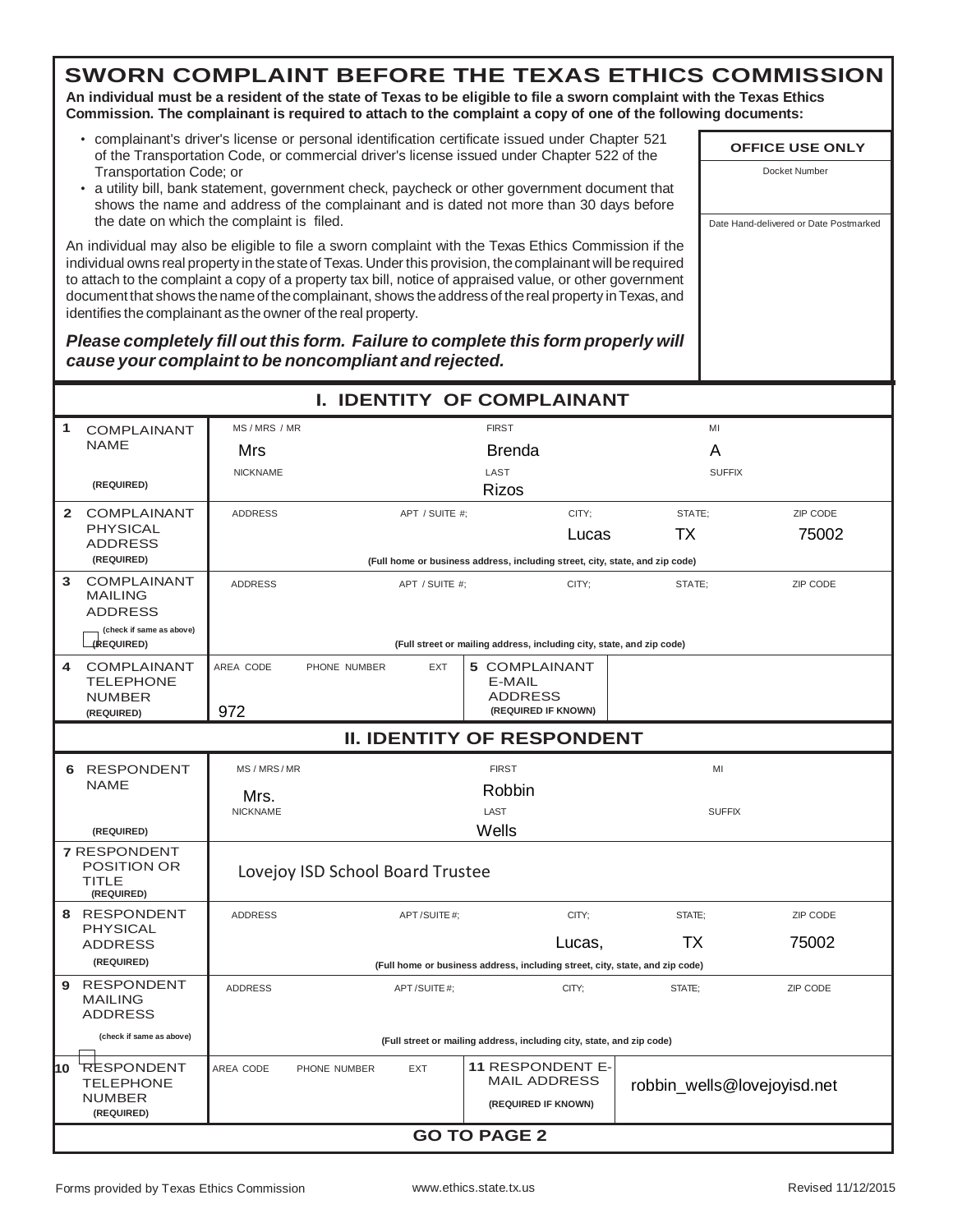**An individual must be a resident of the state of Texas to be eligible to file a sworn complaint with the Texas Ethics Commission. The complainant is required to attach to the complaint a copy of one of the following documents:**

- complainant's driver's license or personal identification certificate issued under Chapter 521 of the Transportation Code, or commercial driver's license issued under Chapter 522 of the Transportation Code; or
- a utility bill, bank statement, government check, paycheck or other government document that shows the name and address of the complainant and is dated not more than 30 days before the date on which the complaint is filed.

An individual may also be eligible to file a sworn complaint with the Texas Ethics Commission if the individual owns real property in thestateof Texas.Underthis provision, thecomplainant will berequired to attach to the complaint a copy of a property tax bill, notice of appraised value, or other government document that shows the name of the complainant, shows the address of the real property in Texas, and identifies the complainant as the owner of the real property.

*Please completely fill out this form. Failure to complete this form properly will cause your complaint to be noncompliant and rejected.*

|   |                                                                  |                 |                                  |                |                          | <b>I. IDENTITY OF COMPLAINANT</b>                                            |                             |          |
|---|------------------------------------------------------------------|-----------------|----------------------------------|----------------|--------------------------|------------------------------------------------------------------------------|-----------------------------|----------|
| 1 | <b>COMPLAINANT</b>                                               | MS / MRS / MR   |                                  |                | <b>FIRST</b>             |                                                                              | MI                          |          |
|   | <b>NAME</b>                                                      | Mrs             |                                  |                | Brenda                   |                                                                              | A                           |          |
|   |                                                                  | <b>NICKNAME</b> |                                  |                | LAST                     |                                                                              | <b>SUFFIX</b>               |          |
|   | (REQUIRED)                                                       |                 |                                  |                | <b>Rizos</b>             |                                                                              |                             |          |
|   | 2 COMPLAINANT                                                    | <b>ADDRESS</b>  |                                  | APT / SUITE #: |                          | CITY:                                                                        | STATE:                      | ZIP CODE |
|   | <b>PHYSICAL</b><br><b>ADDRESS</b>                                |                 |                                  |                |                          | Lucas                                                                        | ТX                          | 75002    |
|   | (REQUIRED)                                                       |                 |                                  |                |                          | (Full home or business address, including street, city, state, and zip code) |                             |          |
| 3 | COMPLAINANT<br><b>MAILING</b><br><b>ADDRESS</b>                  | <b>ADDRESS</b>  |                                  | APT / SUITE #: |                          | CITY;                                                                        | STATE:                      | ZIP CODE |
|   | (check if same as above)<br>(REQUIRED)                           |                 |                                  |                |                          | (Full street or mailing address, including city, state, and zip code)        |                             |          |
| 4 | <b>COMPLAINANT</b><br><b>TELEPHONE</b><br><b>NUMBER</b>          | AREA CODE       | PHONE NUMBER                     | <b>EXT</b>     | E-MAIL<br><b>ADDRESS</b> | <b>5 COMPLAINANT</b>                                                         |                             |          |
|   | (REQUIRED)                                                       | 972             |                                  |                |                          | (REQUIRED IF KNOWN)                                                          |                             |          |
|   | <b>II. IDENTITY OF RESPONDENT</b>                                |                 |                                  |                |                          |                                                                              |                             |          |
|   | 6 RESPONDENT                                                     | MS / MRS / MR   |                                  |                | <b>FIRST</b>             |                                                                              | MI                          |          |
|   | <b>NAME</b>                                                      | Mrs.            |                                  |                | Robbin                   |                                                                              |                             |          |
|   |                                                                  | <b>NICKNAME</b> |                                  |                | LAST                     |                                                                              | <b>SUFFIX</b>               |          |
|   | (REQUIRED)                                                       |                 |                                  |                | Wells                    |                                                                              |                             |          |
|   | <b>7 RESPONDENT</b><br><b>POSITION OR</b><br>TITLE<br>(REQUIRED) |                 | Lovejoy ISD School Board Trustee |                |                          |                                                                              |                             |          |
|   | 8 RESPONDENT                                                     | <b>ADDRESS</b>  |                                  | APT/SUITE#;    |                          | CITY:                                                                        | STATE:                      | ZIP CODE |
|   | <b>PHYSICAL</b><br><b>ADDRESS</b>                                |                 |                                  |                |                          | Lucas,                                                                       | ТX                          | 75002    |
|   | (REQUIRED)                                                       |                 |                                  |                |                          | (Full home or business address, including street, city, state, and zip code) |                             |          |
| 9 | <b>RESPONDENT</b><br><b>MAILING</b><br><b>ADDRESS</b>            | <b>ADDRESS</b>  |                                  | APT/SUITE#;    |                          | CITY;                                                                        | STATE:                      | ZIP CODE |
|   | (check if same as above)                                         |                 |                                  |                |                          | (Full street or mailing address, including city, state, and zip code)        |                             |          |
|   | 10 RESPONDENT<br><b>TELEPHONE</b>                                | AREA CODE       | PHONE NUMBER                     | <b>EXT</b>     |                          | <b>11 RESPONDENT E-</b><br><b>MAIL ADDRESS</b>                               | robbin_wells@lovejoyisd.net |          |
|   | <b>NUMBER</b><br>(REQUIRED)                                      |                 |                                  |                |                          | (REQUIRED IF KNOWN)                                                          |                             |          |
|   |                                                                  |                 |                                  |                | <b>GO TO PAGE 2</b>      |                                                                              |                             |          |
|   |                                                                  |                 |                                  |                |                          |                                                                              |                             |          |

**OFFICE USE ONLY** Docket Number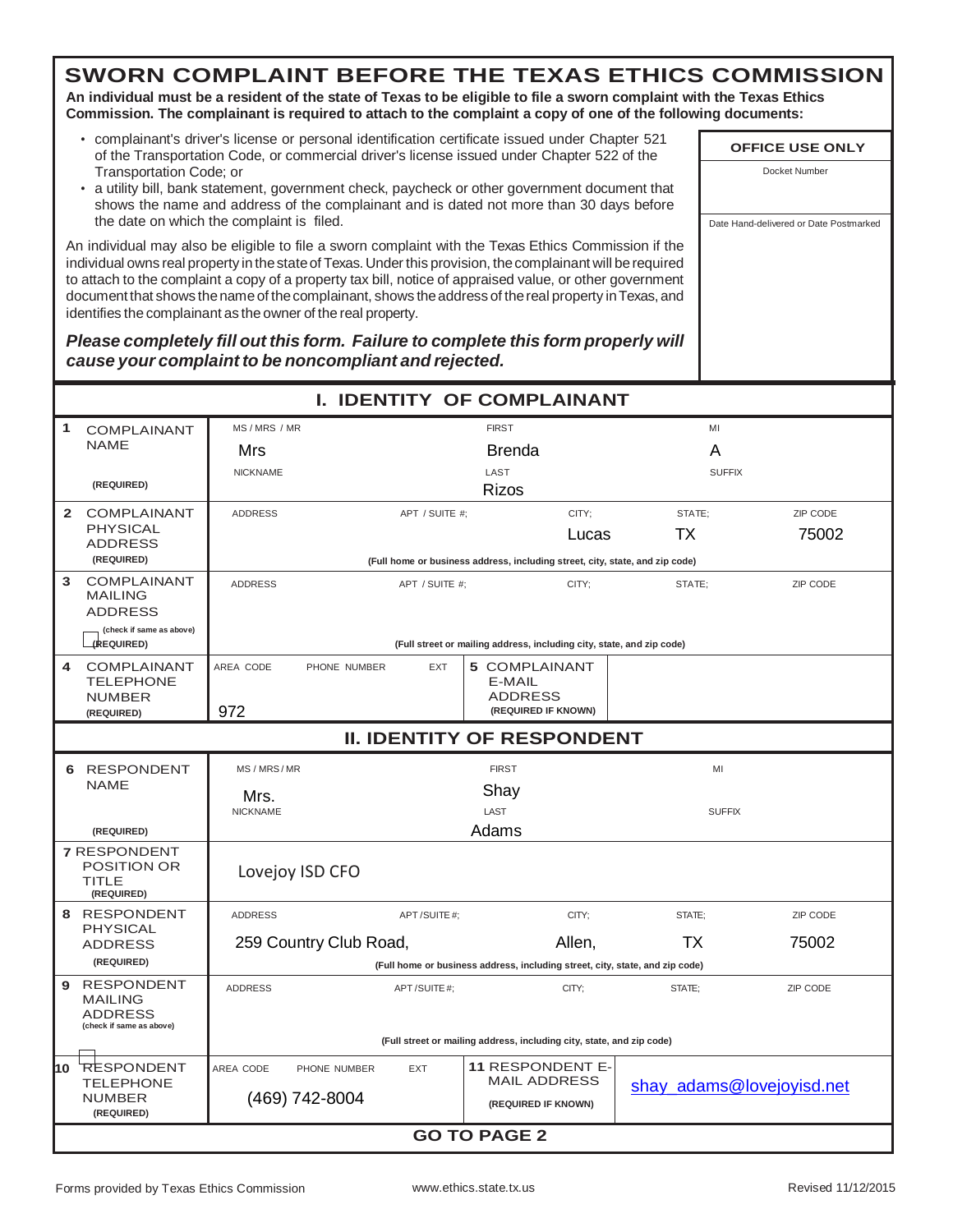**An individual must be a resident of the state of Texas to be eligible to file a sworn complaint with the Texas Ethics Commission. The complainant is required to attach to the complaint a copy of one of the following documents:**

- complainant's driver's license or personal identification certificate issued under Chapter 521 of the Transportation Code, or commercial driver's license issued under Chapter 522 of the Transportation Code; or
- a utility bill, bank statement, government check, paycheck or other government document that shows the name and address of the complainant and is dated not more than 30 days before the date on which the complaint is filed.

An individual may also be eligible to file a sworn complaint with the Texas Ethics Commission if the individual owns real property in thestateof Texas.Underthis provision, thecomplainant will berequired to attach to the complaint a copy of a property tax bill, notice of appraised value, or other government document that shows the name of the complainant, shows the address of the real property in Texas, and identifies the complainant as the owner of the real property.

#### *Please completely fill out this form. Failure to complete this form properly will cause your complaint to be noncompliant and rejected.*

|                                                                                        |                                          |                | <b>I. IDENTITY OF COMPLAINANT</b>                                            |        |                           |  |  |  |
|----------------------------------------------------------------------------------------|------------------------------------------|----------------|------------------------------------------------------------------------------|--------|---------------------------|--|--|--|
| 1<br><b>COMPLAINANT</b>                                                                | MS / MRS / MR                            |                | <b>FIRST</b>                                                                 | MI     |                           |  |  |  |
| <b>NAME</b>                                                                            | Mrs                                      |                | Brenda                                                                       | A      |                           |  |  |  |
|                                                                                        | <b>NICKNAME</b>                          |                | LAST                                                                         |        | <b>SUFFIX</b>             |  |  |  |
| (REQUIRED)                                                                             |                                          |                | <b>Rizos</b>                                                                 |        |                           |  |  |  |
| $\mathbf{2}$<br><b>COMPLAINANT</b><br><b>PHYSICAL</b>                                  | <b>ADDRESS</b>                           | APT / SUITE #: | CITY:                                                                        | STATE: | ZIP CODE                  |  |  |  |
| <b>ADDRESS</b>                                                                         |                                          |                | Lucas                                                                        | ТX     | 75002                     |  |  |  |
| (REQUIRED)                                                                             |                                          |                | (Full home or business address, including street, city, state, and zip code) |        |                           |  |  |  |
| <b>COMPLAINANT</b><br>3<br><b>MAILING</b><br><b>ADDRESS</b>                            | <b>ADDRESS</b>                           | APT / SUITE #; | CITY:                                                                        | STATE: | ZIP CODE                  |  |  |  |
| (check if same as above)<br>(REQUIRED)                                                 |                                          |                | (Full street or mailing address, including city, state, and zip code)        |        |                           |  |  |  |
| 4<br><b>COMPLAINANT</b><br><b>TELEPHONE</b><br><b>NUMBER</b>                           | AREA CODE<br>PHONE NUMBER                | <b>EXT</b>     | 5 COMPLAINANT<br>E-MAIL<br><b>ADDRESS</b>                                    |        |                           |  |  |  |
| (REQUIRED)                                                                             | 972                                      |                | (REQUIRED IF KNOWN)                                                          |        |                           |  |  |  |
| <b>II. IDENTITY OF RESPONDENT</b>                                                      |                                          |                |                                                                              |        |                           |  |  |  |
| 6 RESPONDENT                                                                           | MS/MRS/MR                                |                | <b>FIRST</b>                                                                 |        | MI                        |  |  |  |
| <b>NAME</b>                                                                            | Mrs.                                     |                | Shay                                                                         |        |                           |  |  |  |
|                                                                                        | LAST<br><b>NICKNAME</b><br><b>SUFFIX</b> |                |                                                                              |        |                           |  |  |  |
| (REQUIRED)                                                                             |                                          |                | Adams                                                                        |        |                           |  |  |  |
| <b>7 RESPONDENT</b><br><b>POSITION OR</b><br>TITLE<br>(REQUIRED)                       | Lovejoy ISD CFO                          |                |                                                                              |        |                           |  |  |  |
| 8 RESPONDENT                                                                           | <b>ADDRESS</b>                           | APT/SUITE#:    | CITY:                                                                        | STATE: | ZIP CODE                  |  |  |  |
| <b>PHYSICAL</b><br><b>ADDRESS</b>                                                      | 259 Country Club Road,                   |                | Allen,                                                                       | ТX     | 75002                     |  |  |  |
| (REQUIRED)                                                                             |                                          |                | (Full home or business address, including street, city, state, and zip code) |        |                           |  |  |  |
| <b>RESPONDENT</b><br>9<br><b>MAILING</b><br><b>ADDRESS</b><br>(check if same as above) | <b>ADDRESS</b>                           | APT/SUITE#;    | CITY;                                                                        | STATE: | ZIP CODE                  |  |  |  |
|                                                                                        |                                          |                | (Full street or mailing address, including city, state, and zip code)        |        |                           |  |  |  |
| 10<br><b>RESPONDENT</b><br><b>TELEPHONE</b>                                            | AREA CODE<br>PHONE NUMBER                | <b>EXT</b>     | <b>11 RESPONDENT E-</b><br><b>MAIL ADDRESS</b>                               |        |                           |  |  |  |
| <b>NUMBER</b><br>(REQUIRED)                                                            | (469) 742-8004                           |                | (REQUIRED IF KNOWN)                                                          |        | shay_adams@lovejoyisd.net |  |  |  |
|                                                                                        | <b>GO TO PAGE 2</b>                      |                |                                                                              |        |                           |  |  |  |

**OFFICE USE ONLY** Docket Number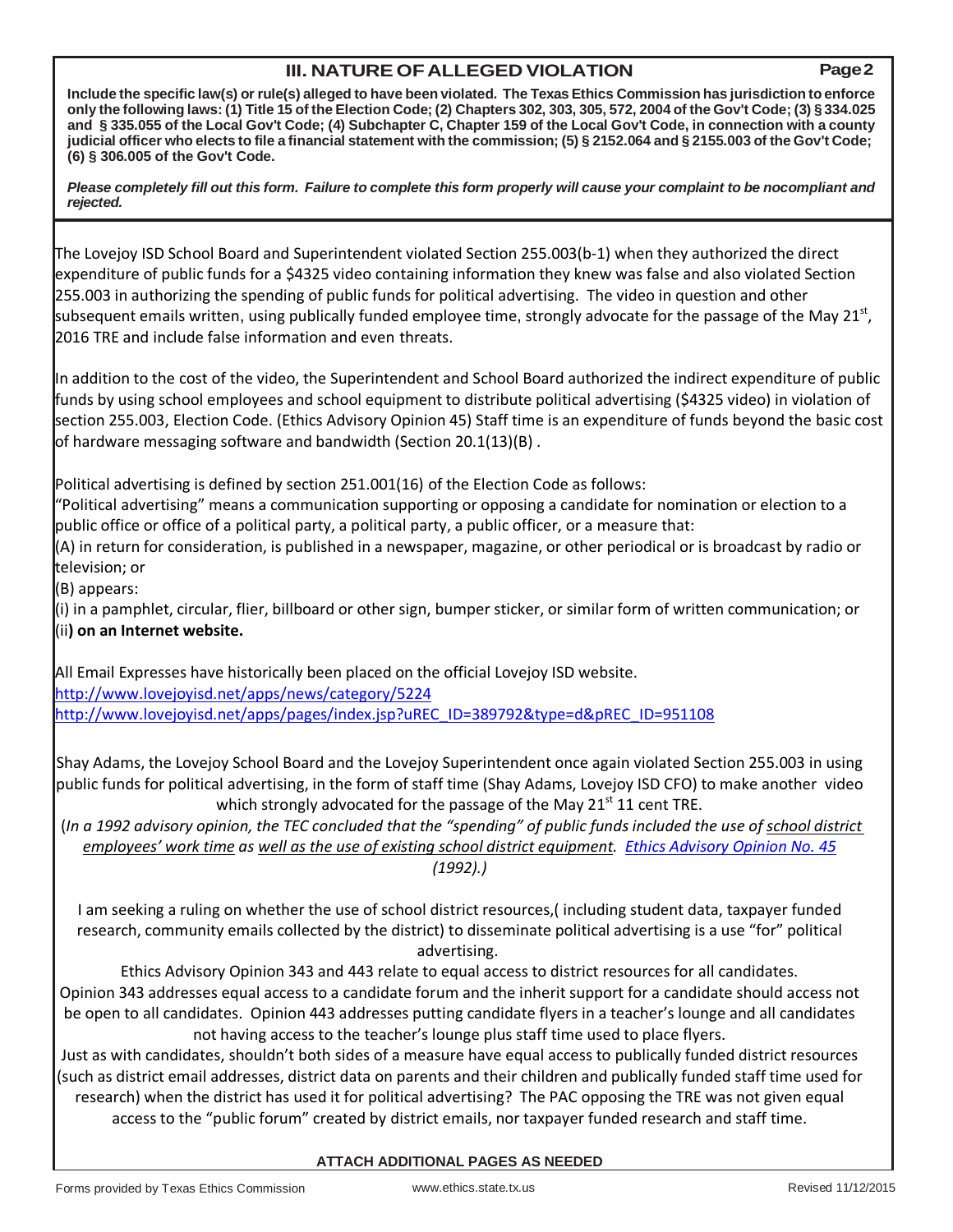## **III. NATURE OFALLEGED VIOLATION Page2**

Include the specific law(s) or rule(s) alleged to have been violated. The Texas Ethics Commission has jurisdiction to enforce only the following laws: (1) Title 15 of the Election Code; (2) Chapters 302, 303, 305, 572, 2004 of the Gov't Code; (3) § 334.025 and §335.055 of the Local Gov't Code; (4) Subchapter C, Chapter 159 of the Local Gov't Code, in connection with a county judicial officer who elects to file a financial statement with the commission; (5) § 2152.064 and § 2155.003 of the Gov't Code; **(6) § 306.005 of the Gov't Code.**

Please completely fill out this form. Failure to complete this form properly will cause your complaint to be nocompliant and *rejected.*

The Lovejoy ISD School Board and Superintendent violated Section 255.003(b-1) when they authorized the direct expenditure of public funds for a \$4325 video containing information they knew was false and also violated Section 255.003 in authorizing the spending of public funds for political advertising. The video in question and other subsequent emails written, using publically funded employee time, strongly advocate for the passage of the May 21<sup>st</sup>, 2016 TRE and include false information and even threats.

In addition to the cost of the video, the Superintendent and School Board authorized the indirect expenditure of public funds by using school employees and school equipment to distribute political advertising (\$4325 video) in violation of section 255.003, Election Code. (Ethics Advisory Opinion 45) Staff time is an expenditure of funds beyond the basic cost of hardware messaging software and bandwidth (Section 20.1(13)(B) .

Political advertising is defined by section 251.001(16) of the Election Code as follows:

"Political advertising" means a communication supporting or opposing a candidate for nomination or election to a public office or office of a political party, a political party, a public officer, or a measure that:

(A) in return for consideration, is published in a newspaper, magazine, or other periodical or is broadcast by radio or television; or

(B) appears:

(i) in a pamphlet, circular, flier, billboard or other sign, bumper sticker, or similar form of written communication; or (ii**) on an Internet website.**

All Email Expresses have historically been placed on the official Lovejoy ISD website. <http://www.lovejoyisd.net/apps/news/category/5224> [http://www.lovejoyisd.net/apps/pages/index.jsp?uREC\\_ID=389792&type=d&pREC\\_ID=951108](http://www.lovejoyisd.net/apps/pages/index.jsp?uREC_ID=389792&type=d&pREC_ID=951108)

Shay Adams, the Lovejoy School Board and the Lovejoy Superintendent once again violated Section 255.003 in using public funds for political advertising, in the form of staff time (Shay Adams, Lovejoy ISD CFO) to make another video which strongly advocated for the passage of the May  $21<sup>st</sup> 11$  cent TRE.

 (*In a 1992 advisory opinion, the TEC concluded that the "spending" of public funds included the use of school district employees' work time as well as the use of existing school district equipment. [Ethics Advisory Opinion No. 45](https://www.ethics.state.tx.us/opinions/045.html) (1992).)*

I am seeking a ruling on whether the use of school district resources,( including student data, taxpayer funded research, community emails collected by the district) to disseminate political advertising is a use "for" political advertising.

Ethics Advisory Opinion 343 and 443 relate to equal access to district resources for all candidates. Opinion 343 addresses equal access to a candidate forum and the inherit support for a candidate should access not be open to all candidates. Opinion 443 addresses putting candidate flyers in a teacher's lounge and all candidates not having access to the teacher's lounge plus staff time used to place flyers.

Just as with candidates, shouldn't both sides of a measure have equal access to publically funded district resources (such as district email addresses, district data on parents and their children and publically funded staff time used for research) when the district has used it for political advertising? The PAC opposing the TRE was not given equal access to the "public forum" created by district emails, nor taxpayer funded research and staff time.

#### **ATTACH ADDITIONAL PAGES AS NEEDED**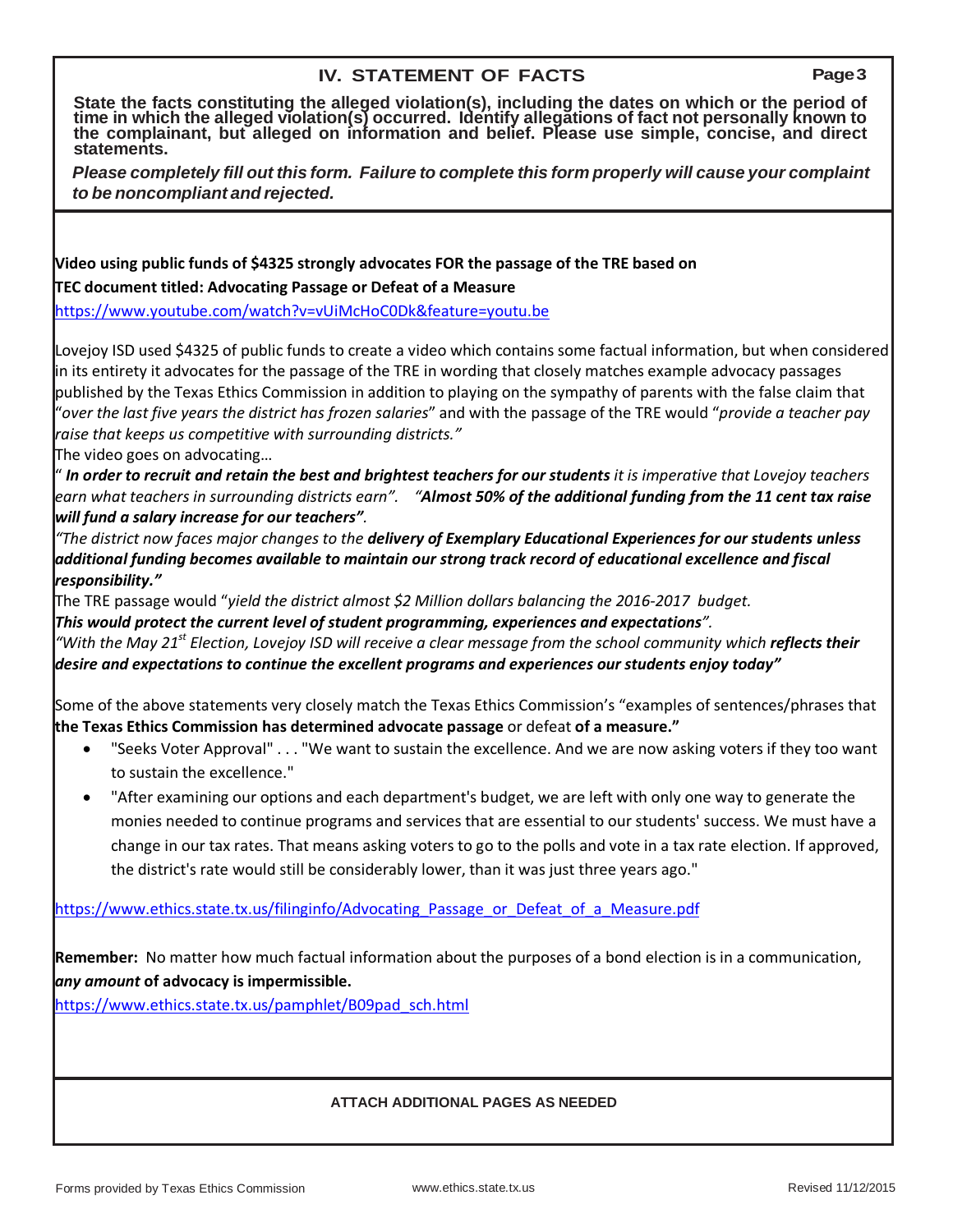## **IV. STATEMENT OF FACTS Page3**

**State the facts constituting the alleged violation(s), including the dates on which or the period of time in which the alleged violation(s) occurred. Identify allegations of fact not personally known to the complainant, but alleged on information and belief. Please use simple, concise, and direct statements.**

*Please completely fill out this form. Failure to complete this form properly will cause your complaint to be noncompliant and rejected.*

| Video using public funds of \$4325 strongly advocates FOR the passage of the TRE based on                                                                                                                                                                                                                                                                                                                                                                                                                                                                                                       |  |  |  |  |  |  |
|-------------------------------------------------------------------------------------------------------------------------------------------------------------------------------------------------------------------------------------------------------------------------------------------------------------------------------------------------------------------------------------------------------------------------------------------------------------------------------------------------------------------------------------------------------------------------------------------------|--|--|--|--|--|--|
| TEC document titled: Advocating Passage or Defeat of a Measure                                                                                                                                                                                                                                                                                                                                                                                                                                                                                                                                  |  |  |  |  |  |  |
| https://www.youtube.com/watch?v=vUiMcHoC0Dk&feature=youtu.be                                                                                                                                                                                                                                                                                                                                                                                                                                                                                                                                    |  |  |  |  |  |  |
| Lovejoy ISD used \$4325 of public funds to create a video which contains some factual information, but when considered<br>in its entirety it advocates for the passage of the TRE in wording that closely matches example advocacy passages<br>published by the Texas Ethics Commission in addition to playing on the sympathy of parents with the false claim that<br>"over the last five years the district has frozen salaries" and with the passage of the TRE would "provide a teacher pay<br>raise that keeps us competitive with surrounding districts."<br>The video goes on advocating |  |  |  |  |  |  |
| " In order to recruit and retain the best and brightest teachers for our students it is imperative that Lovejoy teachers                                                                                                                                                                                                                                                                                                                                                                                                                                                                        |  |  |  |  |  |  |
| earn what teachers in surrounding districts earn". "Almost 50% of the additional funding from the 11 cent tax raise                                                                                                                                                                                                                                                                                                                                                                                                                                                                             |  |  |  |  |  |  |
| will fund a salary increase for our teachers".                                                                                                                                                                                                                                                                                                                                                                                                                                                                                                                                                  |  |  |  |  |  |  |
| "The district now faces major changes to the delivery of Exemplary Educational Experiences for our students unless<br>additional funding becomes available to maintain our strong track record of educational excellence and fiscal<br>responsibility."                                                                                                                                                                                                                                                                                                                                         |  |  |  |  |  |  |
| The TRE passage would "yield the district almost \$2 Million dollars balancing the 2016-2017 budget.                                                                                                                                                                                                                                                                                                                                                                                                                                                                                            |  |  |  |  |  |  |
| This would protect the current level of student programming, experiences and expectations".                                                                                                                                                                                                                                                                                                                                                                                                                                                                                                     |  |  |  |  |  |  |
| "With the May 21 <sup>st</sup> Election, Lovejoy ISD will receive a clear message from the school community which <b>reflects their</b><br>desire and expectations to continue the excellent programs and experiences our students enjoy today"                                                                                                                                                                                                                                                                                                                                                 |  |  |  |  |  |  |
| Some of the above statements very closely match the Texas Ethics Commission's "examples of sentences/phrases that<br>the Texas Ethics Commission has determined advocate passage or defeat of a measure."                                                                                                                                                                                                                                                                                                                                                                                       |  |  |  |  |  |  |
| "Seeks Voter Approval" "We want to sustain the excellence. And we are now asking voters if they too want<br>$\bullet$<br>to sustain the excellence."                                                                                                                                                                                                                                                                                                                                                                                                                                            |  |  |  |  |  |  |
| "After examining our options and each department's budget, we are left with only one way to generate the                                                                                                                                                                                                                                                                                                                                                                                                                                                                                        |  |  |  |  |  |  |
| monies needed to continue programs and services that are essential to our students' success. We must have a                                                                                                                                                                                                                                                                                                                                                                                                                                                                                     |  |  |  |  |  |  |
| change in our tax rates. That means asking voters to go to the polls and vote in a tax rate election. If approved,                                                                                                                                                                                                                                                                                                                                                                                                                                                                              |  |  |  |  |  |  |
| the district's rate would still be considerably lower, than it was just three years ago."                                                                                                                                                                                                                                                                                                                                                                                                                                                                                                       |  |  |  |  |  |  |
| https://www.ethics.state.tx.us/filinginfo/Advocating Passage or Defeat of a Measure.pdf                                                                                                                                                                                                                                                                                                                                                                                                                                                                                                         |  |  |  |  |  |  |
| Remember: No matter how much factual information about the purposes of a bond election is in a communication,                                                                                                                                                                                                                                                                                                                                                                                                                                                                                   |  |  |  |  |  |  |
|                                                                                                                                                                                                                                                                                                                                                                                                                                                                                                                                                                                                 |  |  |  |  |  |  |
| any amount of advocacy is impermissible.                                                                                                                                                                                                                                                                                                                                                                                                                                                                                                                                                        |  |  |  |  |  |  |
| https://www.ethics.state.tx.us/pamphlet/B09pad_sch.html                                                                                                                                                                                                                                                                                                                                                                                                                                                                                                                                         |  |  |  |  |  |  |
|                                                                                                                                                                                                                                                                                                                                                                                                                                                                                                                                                                                                 |  |  |  |  |  |  |
|                                                                                                                                                                                                                                                                                                                                                                                                                                                                                                                                                                                                 |  |  |  |  |  |  |
| <b>ATTACH ADDITIONAL PAGES AS NEEDED</b>                                                                                                                                                                                                                                                                                                                                                                                                                                                                                                                                                        |  |  |  |  |  |  |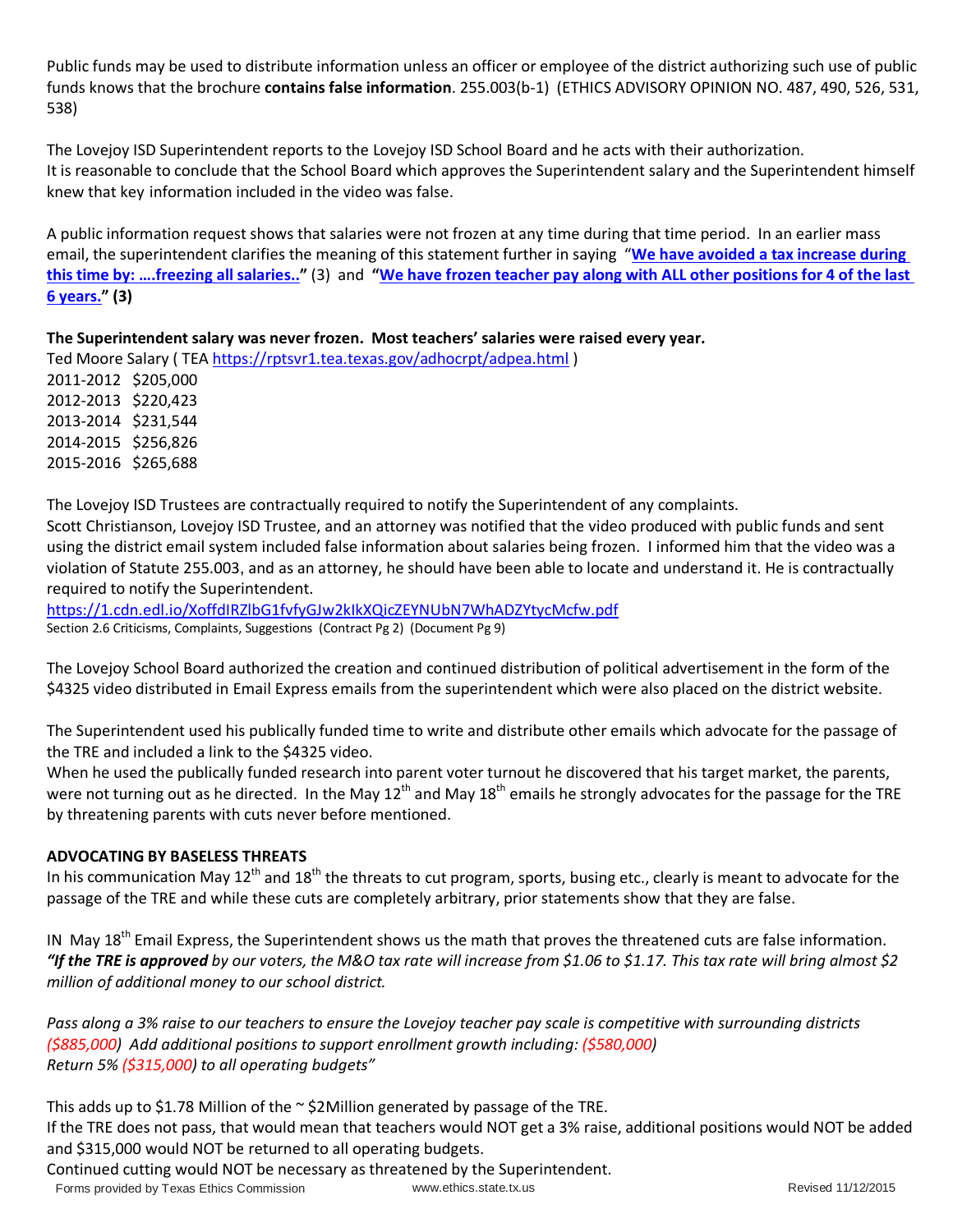Public funds may be used to distribute information unless an officer or employee of the district authorizing such use of public funds knows that the brochure **contains false information**. 255.003(b-1) (ETHICS ADVISORY OPINION NO. 487, 490, 526, 531, 538)

The Lovejoy ISD Superintendent reports to the Lovejoy ISD School Board and he acts with their authorization. It is reasonable to conclude that the School Board which approves the Superintendent salary and the Superintendent himself knew that key information included in the video was false.

A public information request shows that salaries were not frozen at any time during that time period. In an earlier mass email, the superintendent clarifies the meaning of this statement further in saying "**[We have avoided a tax increase during](http://www.lovejoyschools.com/CD/01-13_SalariesFrozenLinkToVideo/03_April6EmailExpressAllSalariesFrozen.pdf)  [this time by: ….freezing all salaries.."](http://www.lovejoyschools.com/CD/01-13_SalariesFrozenLinkToVideo/03_April6EmailExpressAllSalariesFrozen.pdf)** (3) and **["We have frozen teacher pay along with ALL other positions for 4 of the last](http://www.lovejoyschools.com/CD/01-13_SalariesFrozenLinkToVideo/03_April6EmailExpressAllSalariesFrozen.pdf)  [6 years."](http://www.lovejoyschools.com/CD/01-13_SalariesFrozenLinkToVideo/03_April6EmailExpressAllSalariesFrozen.pdf) (3)**

#### **The Superintendent salary was never frozen. Most teachers' salaries were raised every year.**

Ted Moore Salary ( TE[A https://rptsvr1.tea.texas.gov/adhocrpt/adpea.html](https://rptsvr1.tea.texas.gov/adhocrpt/adpea.html) ) 2011-2012 \$205,000 2012-2013 \$220,423 2013-2014 \$231,544 2014-2015 \$256,826 2015-2016 \$265,688

The Lovejoy ISD Trustees are contractually required to notify the Superintendent of any complaints.

Scott Christianson, Lovejoy ISD Trustee, and an attorney was notified that the video produced with public funds and sent using the district email system included false information about salaries being frozen. I informed him that the video was a violation of Statute 255.003, and as an attorney, he should have been able to locate and understand it. He is contractually required to notify the Superintendent.

<https://1.cdn.edl.io/XoffdIRZlbG1fvfyGJw2kIkXQicZEYNUbN7WhADZYtycMcfw.pdf> Section 2.6 Criticisms, Complaints, Suggestions (Contract Pg 2) (Document Pg 9)

The Lovejoy School Board authorized the creation and continued distribution of political advertisement in the form of the \$4325 video distributed in Email Express emails from the superintendent which were also placed on the district website.

The Superintendent used his publically funded time to write and distribute other emails which advocate for the passage of the TRE and included a link to the \$4325 video.

When he used the publically funded research into parent voter turnout he discovered that his target market, the parents, were not turning out as he directed. In the May  $12^{th}$  and May  $18^{th}$  emails he strongly advocates for the passage for the TRE by threatening parents with cuts never before mentioned.

#### **ADVOCATING BY BASELESS THREATS**

In his communication May  $12^{th}$  and  $18^{th}$  the threats to cut program, sports, busing etc., clearly is meant to advocate for the passage of the TRE and while these cuts are completely arbitrary, prior statements show that they are false.

IN May 18<sup>th</sup> Email Express, the Superintendent shows us the math that proves the threatened cuts are false information. *"If the TRE is approved by our voters, the M&O tax rate will increase from \$1.06 to \$1.17. This tax rate will bring almost \$2 million of additional money to our school district.*

*Pass along a 3% raise to our teachers to ensure the Lovejoy teacher pay scale is competitive with surrounding districts (\$885,000) Add additional positions to support enrollment growth including: (\$580,000) Return 5% (\$315,000) to all operating budgets"*

This adds up to \$1.78 Million of the  $\sim$  \$2Million generated by passage of the TRE.

If the TRE does not pass, that would mean that teachers would NOT get a 3% raise, additional positions would NOT be added and \$315,000 would NOT be returned to all operating budgets.

Continued cutting would NOT be necessary as threatened by the Superintendent.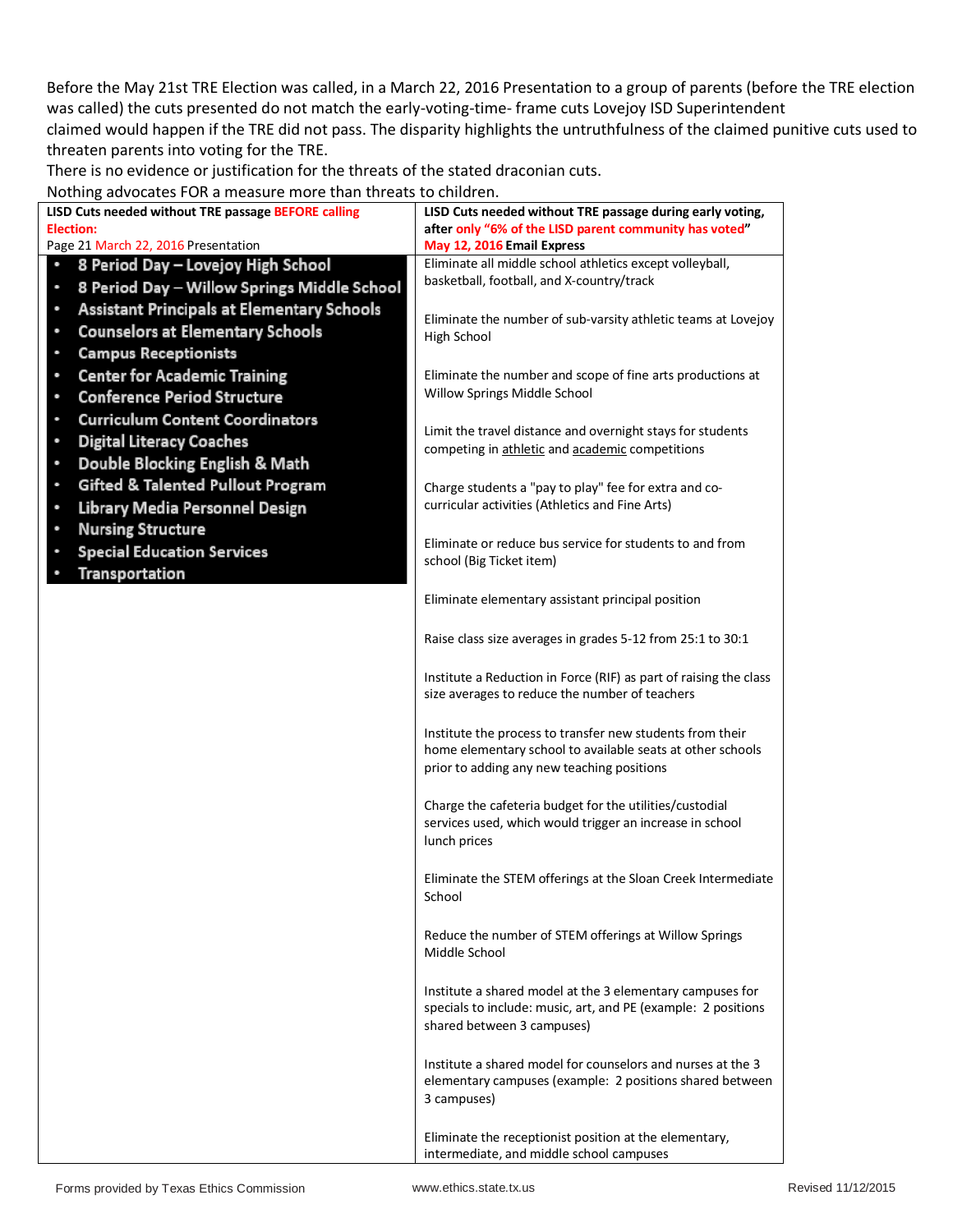Before the May 21st TRE Election was called, in a March 22, 2016 Presentation to a group of parents (before the TRE election was called) the cuts presented do not match the early-voting-time- frame cuts Lovejoy ISD Superintendent claimed would happen if the TRE did not pass. The disparity highlights the untruthfulness of the claimed punitive cuts used to threaten parents into voting for the TRE.

There is no evidence or justification for the threats of the stated draconian cuts.

Nothing advocates FOR a measure more than threats to children.

| <b>TOGHING GOVOCALCS</b> TON & MICQUATE MOTE GRANT GITCALS TO CHING CHI |                                                                                                                            |
|-------------------------------------------------------------------------|----------------------------------------------------------------------------------------------------------------------------|
| LISD Cuts needed without TRE passage BEFORE calling                     | LISD Cuts needed without TRE passage during early voting,                                                                  |
| Election:                                                               | after only "6% of the LISD parent community has voted"                                                                     |
| Page 21 March 22, 2016 Presentation                                     | May 12, 2016 Email Express                                                                                                 |
| 8 Period Day - Lovejoy High School                                      | Eliminate all middle school athletics except volleyball,                                                                   |
| 8 Period Day - Willow Springs Middle School<br>۰                        | basketball, football, and X-country/track                                                                                  |
| <b>Assistant Principals at Elementary Schools</b><br>$\bullet$          |                                                                                                                            |
| <b>Counselors at Elementary Schools</b><br>٠                            | Eliminate the number of sub-varsity athletic teams at Lovejoy<br>High School                                               |
| <b>Campus Receptionists</b><br>۰                                        |                                                                                                                            |
| <b>Center for Academic Training</b><br>٠                                | Eliminate the number and scope of fine arts productions at                                                                 |
| <b>Conference Period Structure</b><br>۰                                 | Willow Springs Middle School                                                                                               |
| <b>Curriculum Content Coordinators</b><br>٠                             |                                                                                                                            |
| <b>Digital Literacy Coaches</b><br>٠                                    | Limit the travel distance and overnight stays for students                                                                 |
| Double Blocking English & Math<br>$\bullet$                             | competing in athletic and academic competitions                                                                            |
| ۰                                                                       |                                                                                                                            |
| <b>Gifted &amp; Talented Pullout Program</b>                            | Charge students a "pay to play" fee for extra and co-<br>curricular activities (Athletics and Fine Arts)                   |
| Library Media Personnel Design<br>٠                                     |                                                                                                                            |
| <b>Nursing Structure</b><br>٠                                           | Eliminate or reduce bus service for students to and from                                                                   |
| <b>Special Education Services</b>                                       | school (Big Ticket item)                                                                                                   |
| <b>Transportation</b>                                                   |                                                                                                                            |
|                                                                         | Eliminate elementary assistant principal position                                                                          |
|                                                                         |                                                                                                                            |
|                                                                         | Raise class size averages in grades 5-12 from 25:1 to 30:1                                                                 |
|                                                                         |                                                                                                                            |
|                                                                         | Institute a Reduction in Force (RIF) as part of raising the class                                                          |
|                                                                         | size averages to reduce the number of teachers                                                                             |
|                                                                         | Institute the process to transfer new students from their                                                                  |
|                                                                         | home elementary school to available seats at other schools                                                                 |
|                                                                         | prior to adding any new teaching positions                                                                                 |
|                                                                         |                                                                                                                            |
|                                                                         | Charge the cafeteria budget for the utilities/custodial                                                                    |
|                                                                         | services used, which would trigger an increase in school<br>lunch prices                                                   |
|                                                                         |                                                                                                                            |
|                                                                         | Eliminate the STEM offerings at the Sloan Creek Intermediate                                                               |
|                                                                         | School                                                                                                                     |
|                                                                         |                                                                                                                            |
|                                                                         | Reduce the number of STEM offerings at Willow Springs                                                                      |
|                                                                         | Middle School                                                                                                              |
|                                                                         |                                                                                                                            |
|                                                                         | Institute a shared model at the 3 elementary campuses for<br>specials to include: music, art, and PE (example: 2 positions |
|                                                                         | shared between 3 campuses)                                                                                                 |
|                                                                         |                                                                                                                            |
|                                                                         | Institute a shared model for counselors and nurses at the 3                                                                |
|                                                                         | elementary campuses (example: 2 positions shared between                                                                   |
|                                                                         | 3 campuses)                                                                                                                |
|                                                                         |                                                                                                                            |
|                                                                         | Eliminate the receptionist position at the elementary,<br>intermediate, and middle school campuses                         |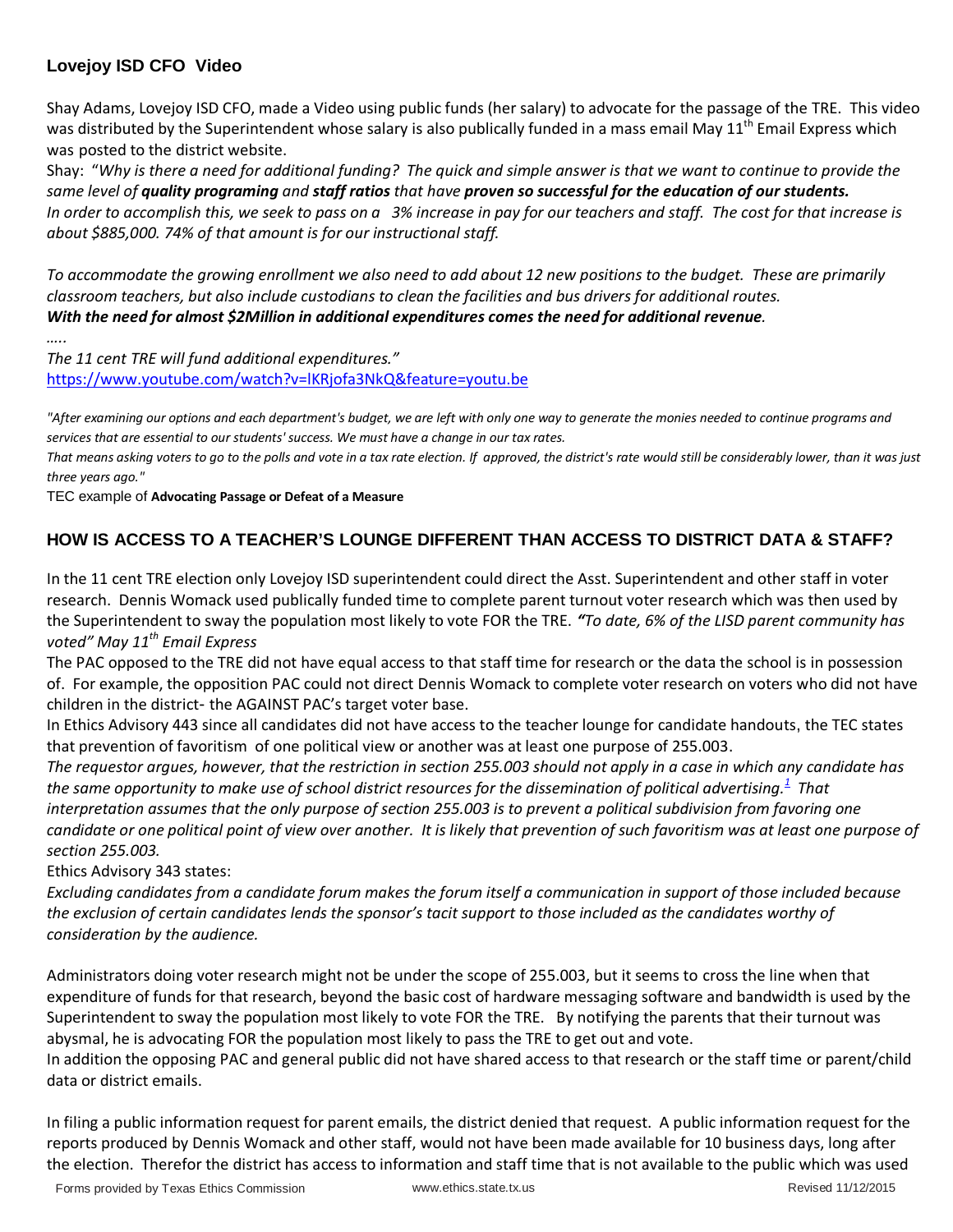## **Lovejoy ISD CFO Video**

Shay Adams, Lovejoy ISD CFO, made a Video using public funds (her salary) to advocate for the passage of the TRE. This video was distributed by the Superintendent whose salary is also publically funded in a mass email May 11<sup>th</sup> Email Express which was posted to the district website.

Shay: "*Why is there a need for additional funding? The quick and simple answer is that we want to continue to provide the same level of quality programing and staff ratios that have proven so successful for the education of our students. In order to accomplish this, we seek to pass on a 3% increase in pay for our teachers and staff. The cost for that increase is about \$885,000. 74% of that amount is for our instructional staff.*

*To accommodate the growing enrollment we also need to add about 12 new positions to the budget. These are primarily classroom teachers, but also include custodians to clean the facilities and bus drivers for additional routes. With the need for almost \$2Million in additional expenditures comes the need for additional revenue.* 

*…..*

*The 11 cent TRE will fund additional expenditures."* <https://www.youtube.com/watch?v=lKRjofa3NkQ&feature=youtu.be>

*"After examining our options and each department's budget, we are left with only one way to generate the monies needed to continue programs and services that are essential to our students' success. We must have a change in our tax rates.* 

*That means asking voters to go to the polls and vote in a tax rate election. If approved, the district's rate would still be considerably lower, than it was just three years ago."*

TEC example of **Advocating Passage or Defeat of a Measure**

# **HOW IS ACCESS TO A TEACHER'S LOUNGE DIFFERENT THAN ACCESS TO DISTRICT DATA & STAFF?**

In the 11 cent TRE election only Lovejoy ISD superintendent could direct the Asst. Superintendent and other staff in voter research. Dennis Womack used publically funded time to complete parent turnout voter research which was then used by the Superintendent to sway the population most likely to vote FOR the TRE. *"To date, 6% of the LISD parent community has voted" May 11th Email Express*

The PAC opposed to the TRE did not have equal access to that staff time for research or the data the school is in possession of. For example, the opposition PAC could not direct Dennis Womack to complete voter research on voters who did not have children in the district- the AGAINST PAC's target voter base.

In Ethics Advisory 443 since all candidates did not have access to the teacher lounge for candidate handouts, the TEC states that prevention of favoritism of one political view or another was at least one purpose of 255.003.

*The requestor argues, however, that the restriction in section 255.003 should not apply in a case in which any candidate has the same opportunity to make use of school district resources for the dissemination of political advertising[.](https://www.ethics.state.tx.us/opinions/443.html#_ftn1)<sup>1</sup> That interpretation assumes that the only purpose of section 255.003 is to prevent a political subdivision from favoring one candidate or one political point of view over another. It is likely that prevention of such favoritism was at least one purpose of section 255.003.*

Ethics Advisory 343 states:

*Excluding candidates from a candidate forum makes the forum itself a communication in support of those included because the exclusion of certain candidates lends the sponsor's tacit support to those included as the candidates worthy of consideration by the audience.*

Administrators doing voter research might not be under the scope of 255.003, but it seems to cross the line when that expenditure of funds for that research, beyond the basic cost of hardware messaging software and bandwidth is used by the Superintendent to sway the population most likely to vote FOR the TRE. By notifying the parents that their turnout was abysmal, he is advocating FOR the population most likely to pass the TRE to get out and vote.

In addition the opposing PAC and general public did not have shared access to that research or the staff time or parent/child data or district emails.

In filing a public information request for parent emails, the district denied that request. A public information request for the reports produced by Dennis Womack and other staff, would not have been made available for 10 business days, long after the election. Therefor the district has access to information and staff time that is not available to the public which was used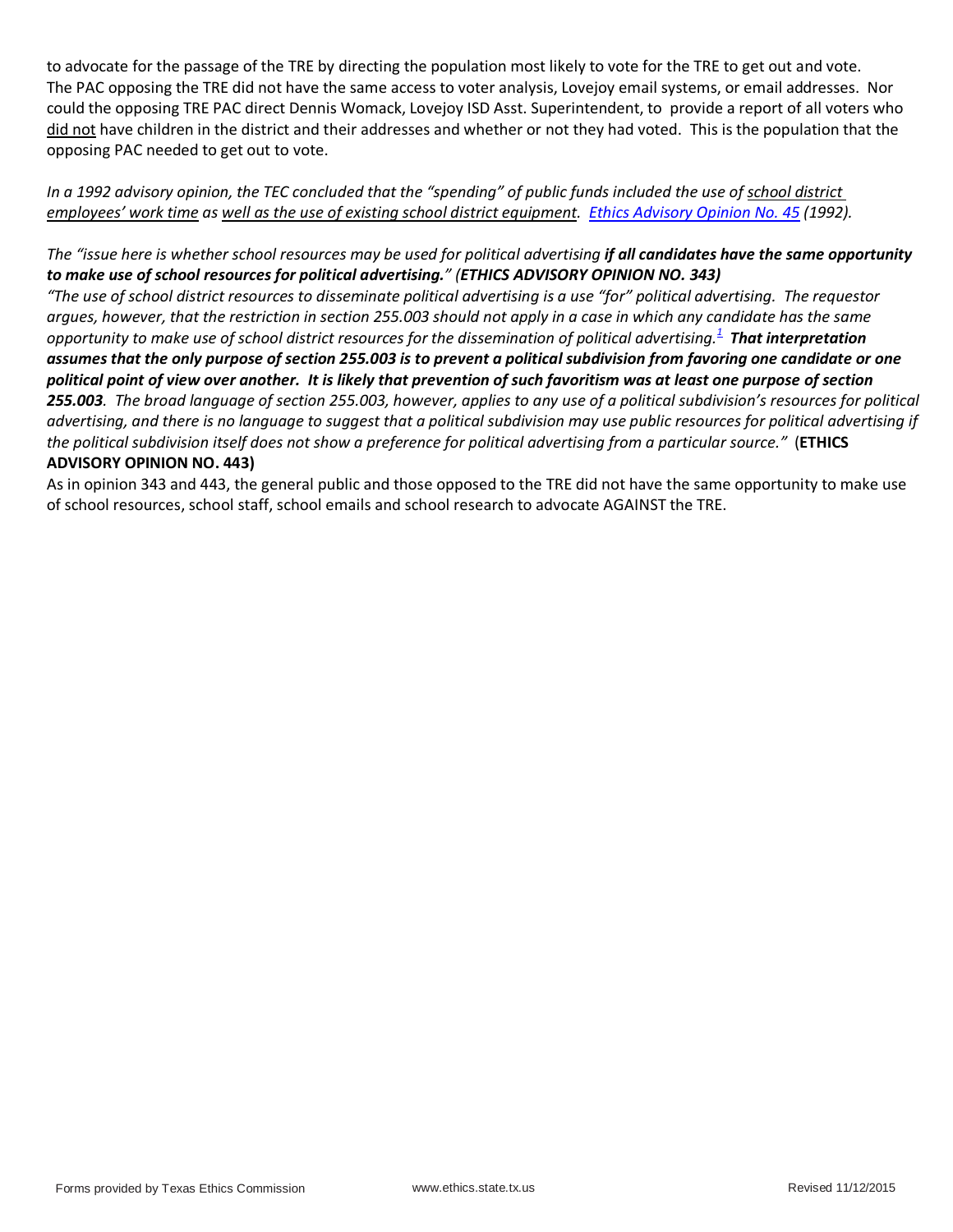to advocate for the passage of the TRE by directing the population most likely to vote for the TRE to get out and vote. The PAC opposing the TRE did not have the same access to voter analysis, Lovejoy email systems, or email addresses. Nor could the opposing TRE PAC direct Dennis Womack, Lovejoy ISD Asst. Superintendent, to provide a report of all voters who did not have children in the district and their addresses and whether or not they had voted. This is the population that the opposing PAC needed to get out to vote.

*In a 1992 advisory opinion, the TEC concluded that the "spending" of public funds included the use of school district employees' work time as well as the use of existing school district equipment. [Ethics Advisory Opinion No. 45](https://www.ethics.state.tx.us/opinions/045.html) (1992).*

#### *The "issue here is whether school resources may be used for political advertising if all candidates have the same opportunity to make use of school resources for political advertising." (ETHICS ADVISORY OPINION NO. 343)*

*"The use of school district resources to disseminate political advertising is a use "for" political advertising. The requestor argues, however, that the restriction in section 255.003 should not apply in a case in which any candidate has the same opportunity to make use of school district resources for the dissemination of political advertising[.](https://www.ethics.state.tx.us/opinions/443.html#_ftn1)<sup>1</sup> That interpretation assumes that the only purpose of section 255.003 is to prevent a political subdivision from favoring one candidate or one political point of view over another. It is likely that prevention of such favoritism was at least one purpose of section 255.003. The broad language of section 255.003, however, applies to any use of a political subdivision's resources for political advertising, and there is no language to suggest that a political subdivision may use public resources for political advertising if the political subdivision itself does not show a preference for political advertising from a particular source."* (**ETHICS ADVISORY OPINION NO. 443)**

As in opinion 343 and 443, the general public and those opposed to the TRE did not have the same opportunity to make use of school resources, school staff, school emails and school research to advocate AGAINST the TRE.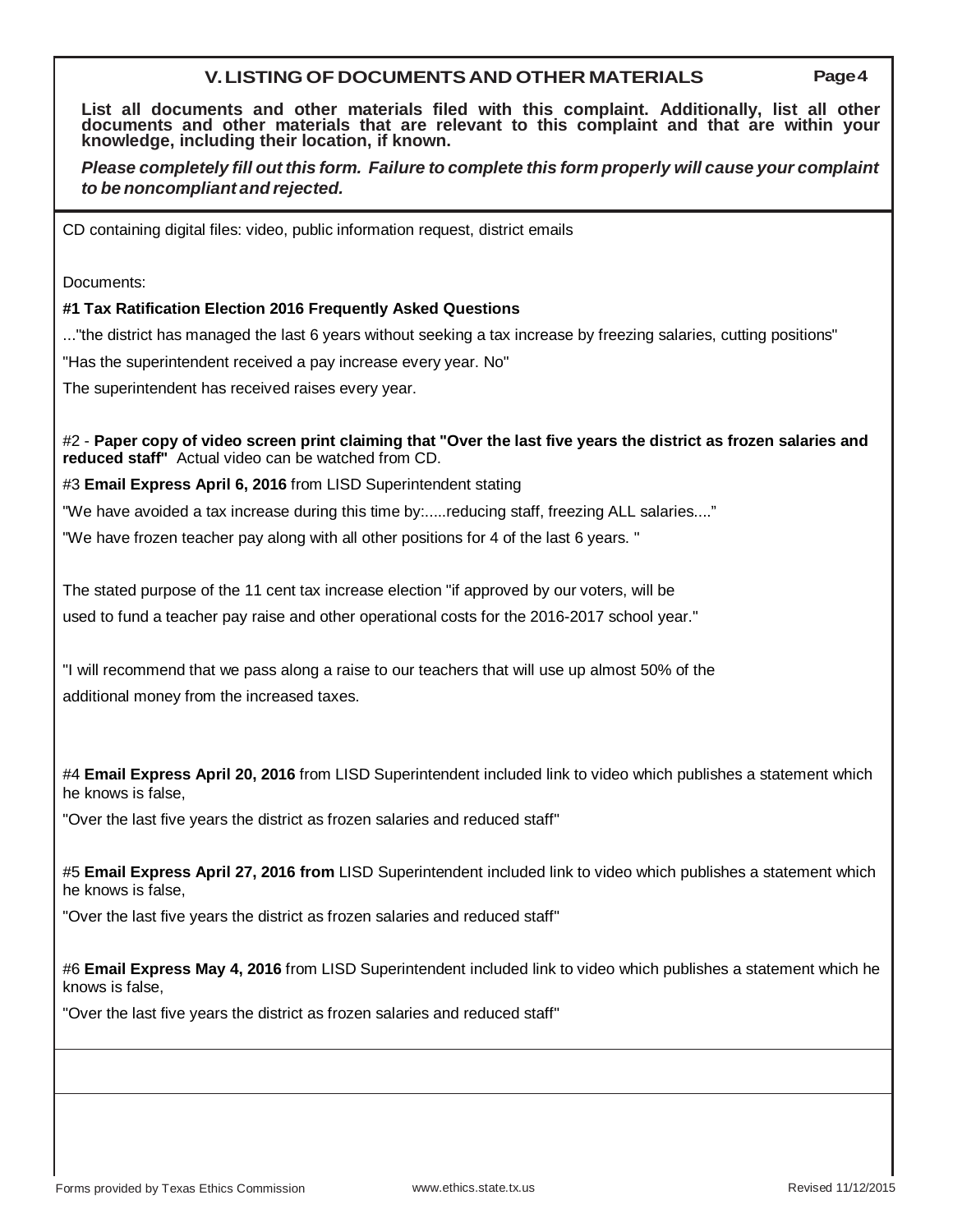### **V.LISTING OF DOCUMENTSAND OTHER MATERIALS Page4**

**List all documents and other materials filed with this complaint. Additionally, list all other documents and other materials that are relevant to this complaint and that are within your knowledge, including their location, if known.**

*Please completely fill out this form. Failure to complete this form properly will cause your complaint to be noncompliant and rejected.*

CD containing digital files: video, public information request, district emails

Documents:

#### **#1 Tax Ratification Election 2016 Frequently Asked Questions**

..."the district has managed the last 6 years without seeking a tax increase by freezing salaries, cutting positions"

"Has the superintendent received a pay increase every year. No"

The superintendent has received raises every year.

#2 - **Paper copy of video screen print claiming that "Over the last five years the district as frozen salaries and reduced staff"** Actual video can be watched from CD.

#3 **Email Express April 6, 2016** from LISD Superintendent stating

"We have avoided a tax increase during this time by:.....reducing staff, freezing ALL salaries...."

"We have frozen teacher pay along with all other positions for 4 of the last 6 years. "

The stated purpose of the 11 cent tax increase election "if approved by our voters, will be used to fund a teacher pay raise and other operational costs for the 2016-2017 school year."

"I will recommend that we pass along a raise to our teachers that will use up almost 50% of the additional money from the increased taxes.

#4 **Email Express April 20, 2016** from LISD Superintendent included link to video which publishes a statement which he knows is false,

"Over the last five years the district as frozen salaries and reduced staff"

#5 **Email Express April 27, 2016 from** LISD Superintendent included link to video which publishes a statement which he knows is false,

"Over the last five years the district as frozen salaries and reduced staff"

#6 **Email Express May 4, 2016** from LISD Superintendent included link to video which publishes a statement which he knows is false,

"Over the last five years the district as frozen salaries and reduced staff"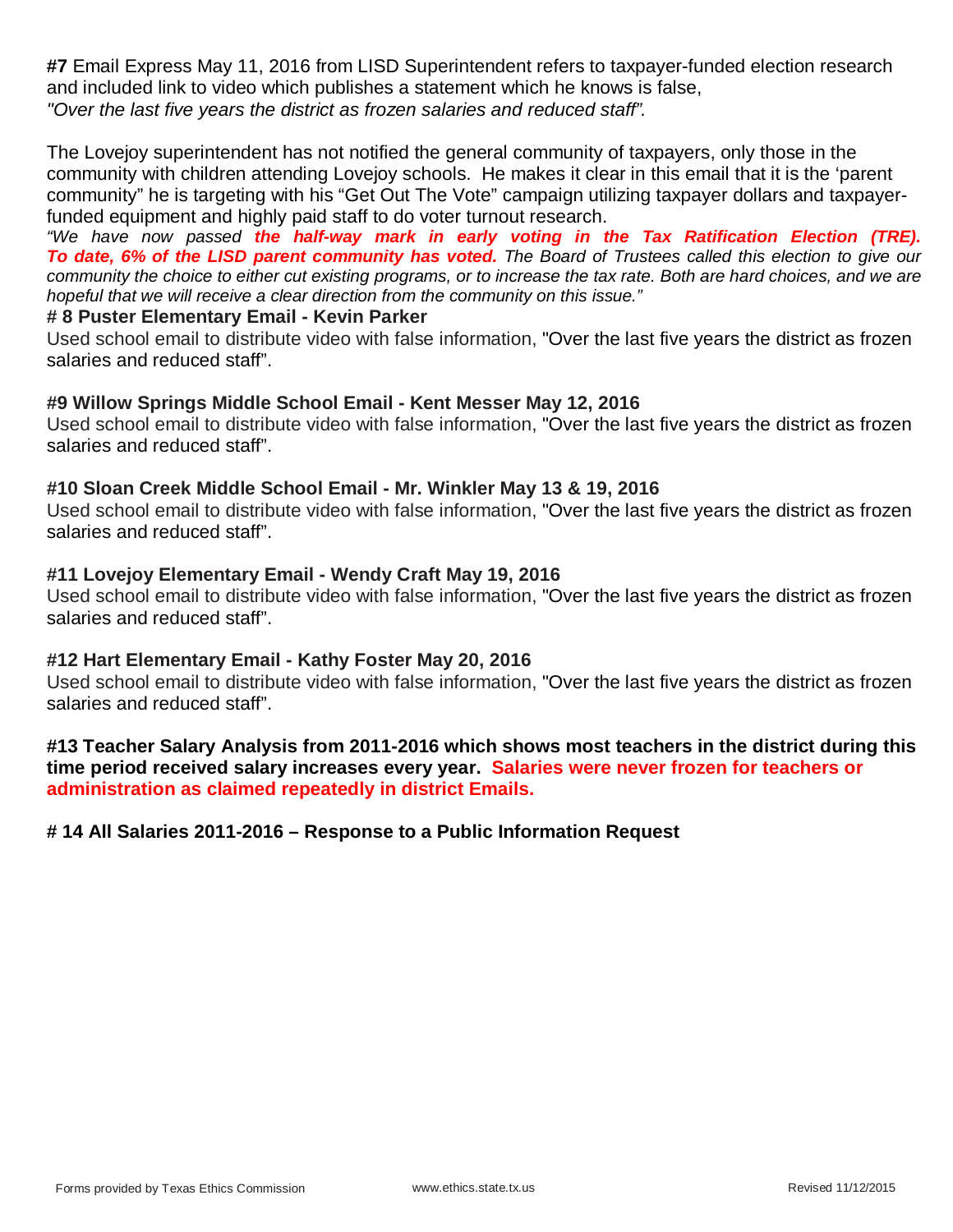**#7** Email Express May 11, 2016 from LISD Superintendent refers to taxpayer-funded election research and included link to video which publishes a statement which he knows is false, *"Over the last five years the district as frozen salaries and reduced staff".*

The Lovejoy superintendent has not notified the general community of taxpayers, only those in the community with children attending Lovejoy schools. He makes it clear in this email that it is the 'parent community" he is targeting with his "Get Out The Vote" campaign utilizing taxpayer dollars and taxpayerfunded equipment and highly paid staff to do voter turnout research.

*"We have now passed the half-way mark in early voting in the Tax Ratification Election (TRE). To date, 6% of the LISD parent community has voted. The Board of Trustees called this election to give our community the choice to either cut existing programs, or to increase the tax rate. Both are hard choices, and we are hopeful that we will receive a clear direction from the community on this issue."*

## **# 8 Puster Elementary Email - Kevin Parker**

Used school email to distribute video with false information, "Over the last five years the district as frozen salaries and reduced staff".

## **#9 Willow Springs Middle School Email - Kent Messer May 12, 2016**

Used school email to distribute video with false information, "Over the last five years the district as frozen salaries and reduced staff".

## **#10 Sloan Creek Middle School Email - Mr. Winkler May 13 & 19, 2016**

Used school email to distribute video with false information, "Over the last five years the district as frozen salaries and reduced staff".

## **#11 Lovejoy Elementary Email - Wendy Craft May 19, 2016**

Used school email to distribute video with false information, "Over the last five years the district as frozen salaries and reduced staff".

## **#12 Hart Elementary Email - Kathy Foster May 20, 2016**

Used school email to distribute video with false information, "Over the last five years the district as frozen salaries and reduced staff".

**#13 Teacher Salary Analysis from 2011-2016 which shows most teachers in the district during this time period received salary increases every year. Salaries were never frozen for teachers or administration as claimed repeatedly in district Emails.**

## **# 14 All Salaries 2011-2016 – Response to a Public Information Request**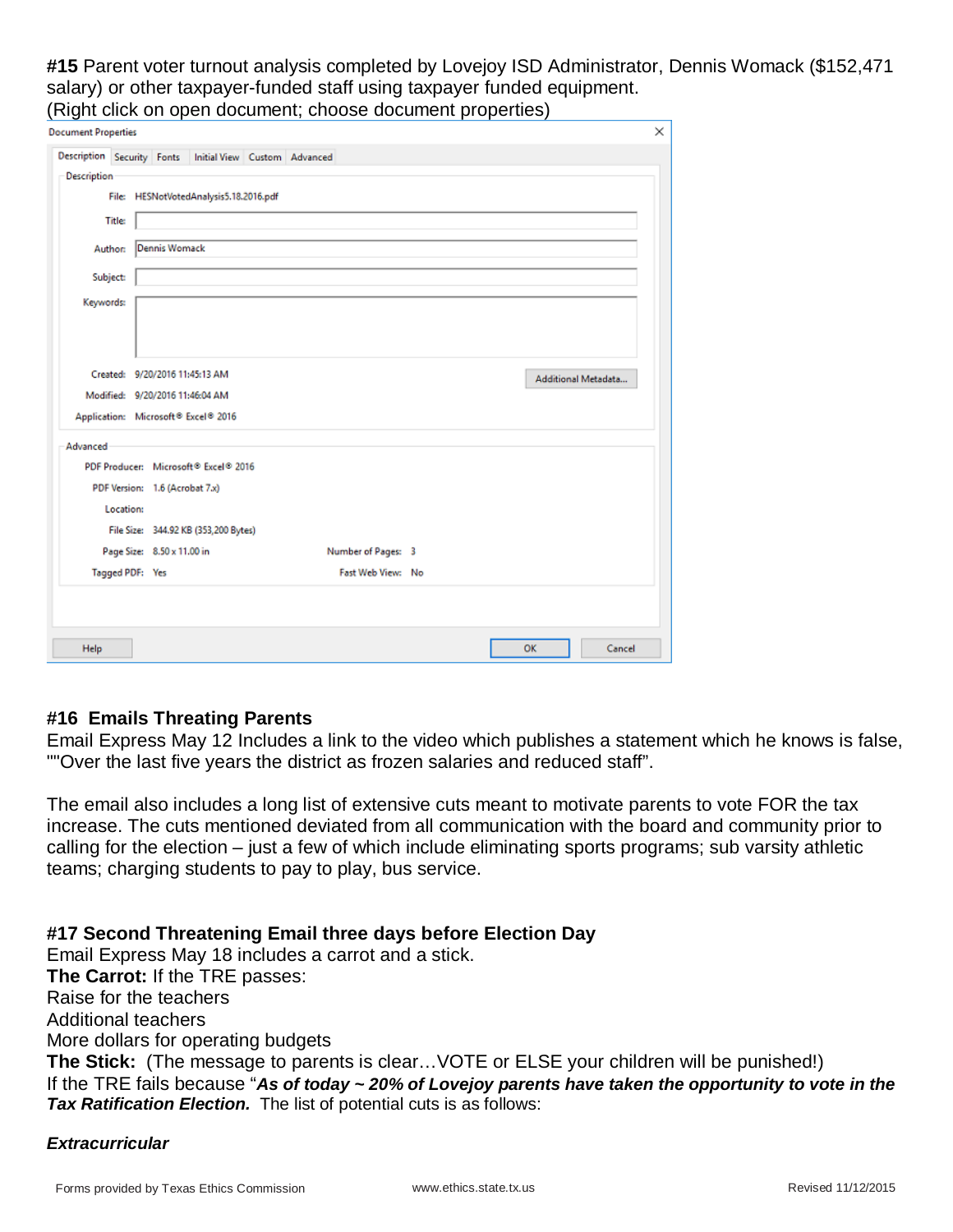**#15** Parent voter turnout analysis completed by Lovejoy ISD Administrator, Dennis Womack (\$152,471 salary) or other taxpayer-funded staff using taxpayer funded equipment. (Right click on open document; choose document properties)

| <b>Document Properties</b>                              |                                     |                                        |  |                    |  |    |                     | × |
|---------------------------------------------------------|-------------------------------------|----------------------------------------|--|--------------------|--|----|---------------------|---|
|                                                         |                                     |                                        |  |                    |  |    |                     |   |
| Description Security Fonts Initial View Custom Advanced |                                     |                                        |  |                    |  |    |                     |   |
| Description                                             |                                     |                                        |  |                    |  |    |                     |   |
|                                                         |                                     | File: HESNotVotedAnalysis5.18.2016.pdf |  |                    |  |    |                     |   |
| <b>Title:</b>                                           |                                     |                                        |  |                    |  |    |                     |   |
| Author:                                                 | Dennis Womack                       |                                        |  |                    |  |    |                     |   |
|                                                         |                                     |                                        |  |                    |  |    |                     |   |
| Subject:                                                |                                     |                                        |  |                    |  |    |                     |   |
| Keywords:                                               |                                     |                                        |  |                    |  |    |                     |   |
|                                                         |                                     |                                        |  |                    |  |    |                     |   |
|                                                         |                                     |                                        |  |                    |  |    |                     |   |
|                                                         | Created: 9/20/2016 11:45:13 AM      |                                        |  |                    |  |    |                     |   |
|                                                         | Modified: 9/20/2016 11:46:04 AM     |                                        |  |                    |  |    | Additional Metadata |   |
|                                                         | Application: Microsoft® Excel® 2016 |                                        |  |                    |  |    |                     |   |
|                                                         |                                     |                                        |  |                    |  |    |                     |   |
| Advanced                                                |                                     |                                        |  |                    |  |    |                     |   |
|                                                         |                                     | PDF Producer: Microsoft® Excel® 2016   |  |                    |  |    |                     |   |
|                                                         | PDF Version: 1.6 (Acrobat 7.x)      |                                        |  |                    |  |    |                     |   |
| Location:                                               |                                     |                                        |  |                    |  |    |                     |   |
|                                                         |                                     | File Size: 344.92 KB (353,200 Bytes)   |  |                    |  |    |                     |   |
|                                                         | Page Size: 8.50 x 11.00 in          |                                        |  | Number of Pages: 3 |  |    |                     |   |
|                                                         | Tagged PDF: Yes                     |                                        |  | Fast Web View: No  |  |    |                     |   |
|                                                         |                                     |                                        |  |                    |  |    |                     |   |
|                                                         |                                     |                                        |  |                    |  |    |                     |   |
|                                                         |                                     |                                        |  |                    |  |    |                     |   |
| Help                                                    |                                     |                                        |  |                    |  | OK | Cancel              |   |

# **#16 Emails Threating Parents**

Email Express May 12 Includes a link to the video which publishes a statement which he knows is false, ""Over the last five years the district as frozen salaries and reduced staff".

The email also includes a long list of extensive cuts meant to motivate parents to vote FOR the tax increase. The cuts mentioned deviated from all communication with the board and community prior to calling for the election – just a few of which include eliminating sports programs; sub varsity athletic teams; charging students to pay to play, bus service.

# **#17 Second Threatening Email three days before Election Day**

Email Express May 18 includes a carrot and a stick. **The Carrot:** If the TRE passes: Raise for the teachers Additional teachers More dollars for operating budgets **The Stick:** (The message to parents is clear…VOTE or ELSE your children will be punished!) If the TRE fails because "*As of today ~ 20% of Lovejoy parents have taken the opportunity to vote in the Tax Ratification Election.* The list of potential cuts is as follows:

# *Extracurricular*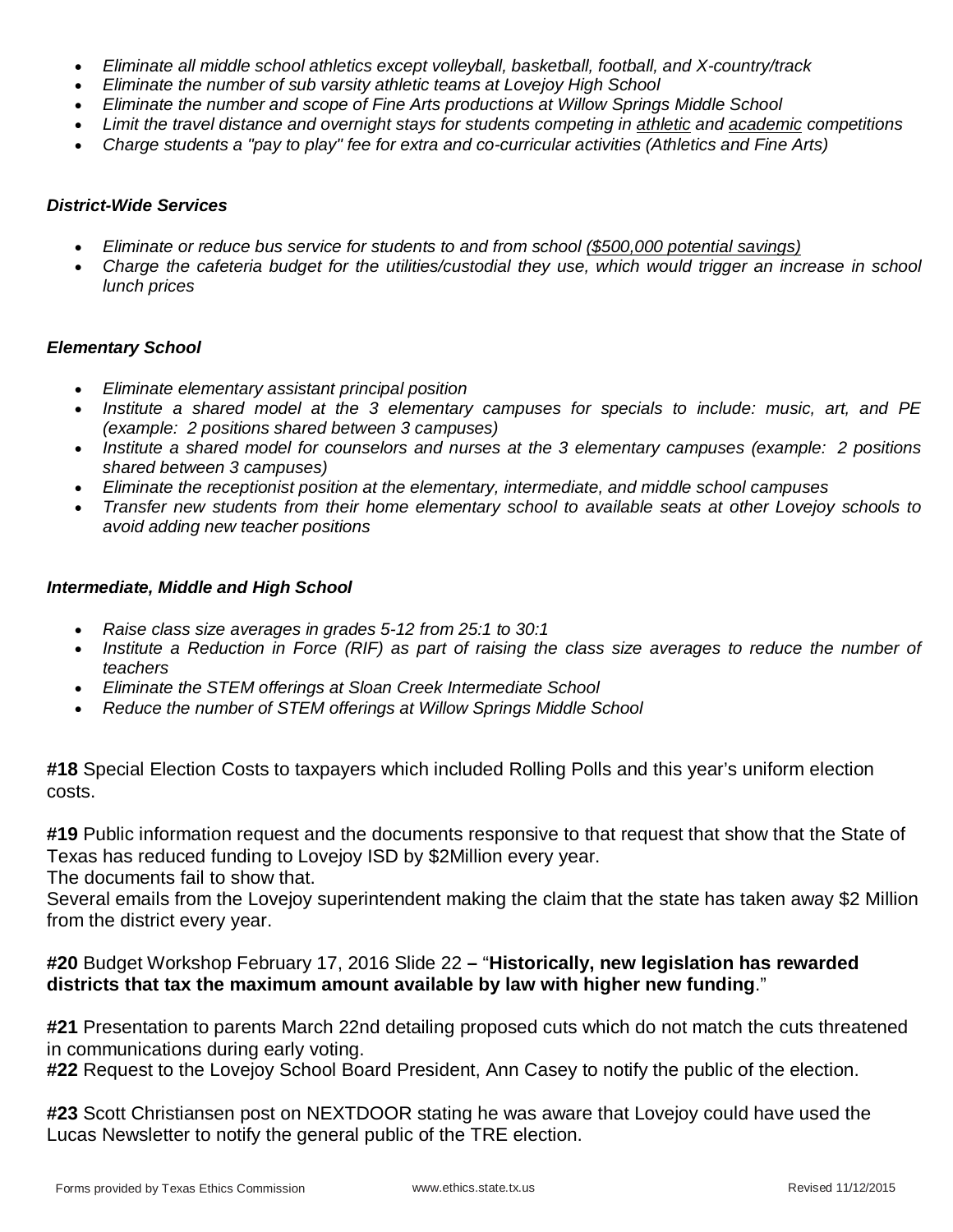- *Eliminate all middle school athletics except volleyball, basketball, football, and X-country/track*
- *Eliminate the number of sub varsity athletic teams at Lovejoy High School*
- *Eliminate the number and scope of Fine Arts productions at Willow Springs Middle School*
- *Limit the travel distance and overnight stays for students competing in athletic and academic competitions*
- *Charge students a "pay to play" fee for extra and co-curricular activities (Athletics and Fine Arts)*

#### *District-Wide Services*

- *Eliminate or reduce bus service for students to and from school (\$500,000 potential savings)*
- *Charge the cafeteria budget for the utilities/custodial they use, which would trigger an increase in school lunch prices*

#### *Elementary School*

- *Eliminate elementary assistant principal position*
- *Institute a shared model at the 3 elementary campuses for specials to include: music, art, and PE (example: 2 positions shared between 3 campuses)*
- *Institute a shared model for counselors and nurses at the 3 elementary campuses (example: 2 positions shared between 3 campuses)*
- *Eliminate the receptionist position at the elementary, intermediate, and middle school campuses*
- *Transfer new students from their home elementary school to available seats at other Lovejoy schools to avoid adding new teacher positions*

#### *Intermediate, Middle and High School*

- *Raise class size averages in grades 5-12 from 25:1 to 30:1*
- *Institute a Reduction in Force (RIF) as part of raising the class size averages to reduce the number of teachers*
- *Eliminate the STEM offerings at Sloan Creek Intermediate School*
- *Reduce the number of STEM offerings at Willow Springs Middle School*

**#18** Special Election Costs to taxpayers which included Rolling Polls and this year's uniform election costs.

**#19** Public information request and the documents responsive to that request that show that the State of Texas has reduced funding to Lovejoy ISD by \$2Million every year.

The documents fail to show that.

Several emails from the Lovejoy superintendent making the claim that the state has taken away \$2 Million from the district every year.

## **#20** Budget Workshop February 17, 2016 Slide 22 **–** "**Historically, new legislation has rewarded districts that tax the maximum amount available by law with higher new funding**."

**#21** Presentation to parents March 22nd detailing proposed cuts which do not match the cuts threatened in communications during early voting.

**#22** Request to the Lovejoy School Board President, Ann Casey to notify the public of the election.

**#23** Scott Christiansen post on NEXTDOOR stating he was aware that Lovejoy could have used the Lucas Newsletter to notify the general public of the TRE election.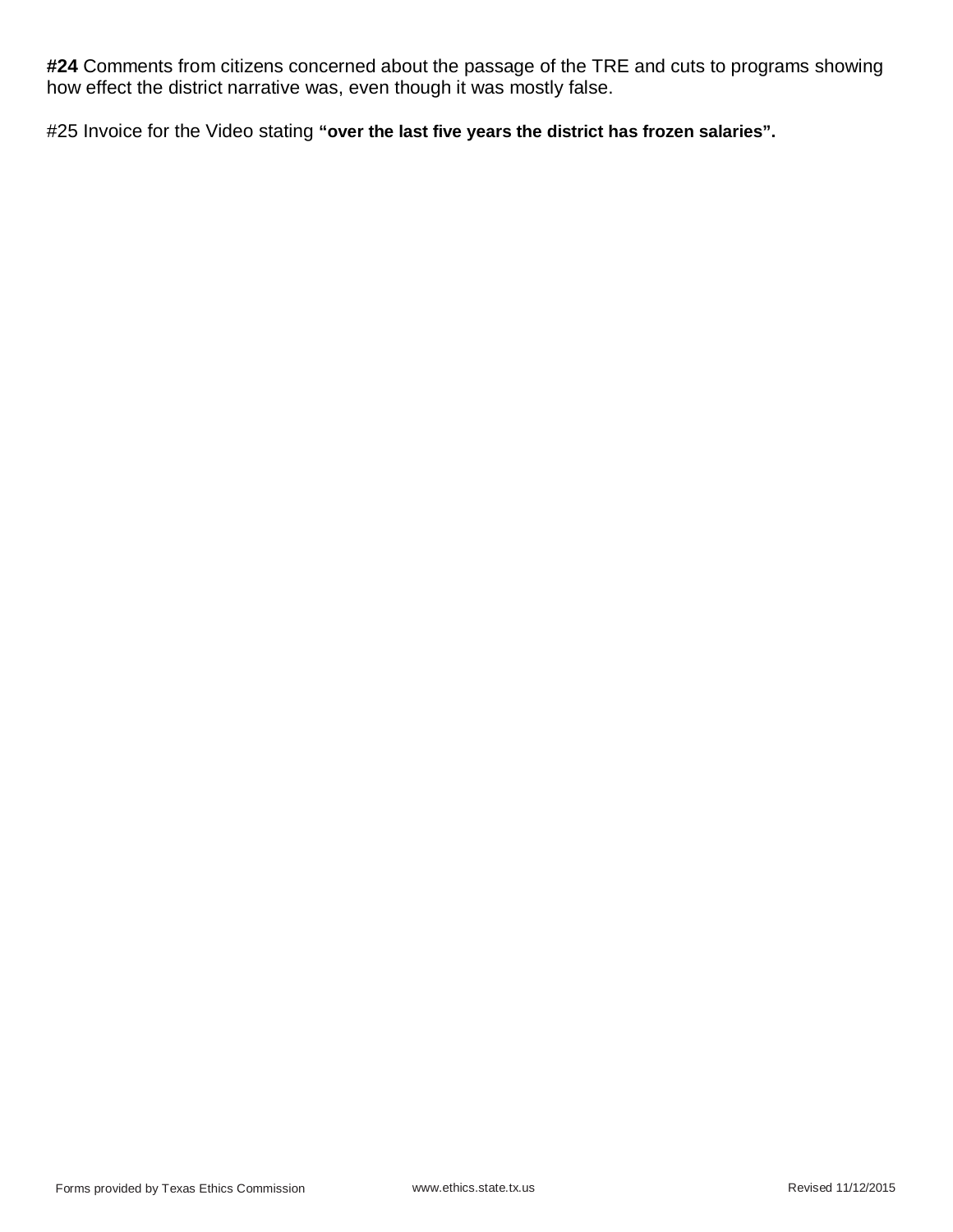**#24** Comments from citizens concerned about the passage of the TRE and cuts to programs showing how effect the district narrative was, even though it was mostly false.

#25 Invoice for the Video stating **"over the last five years the district has frozen salaries".**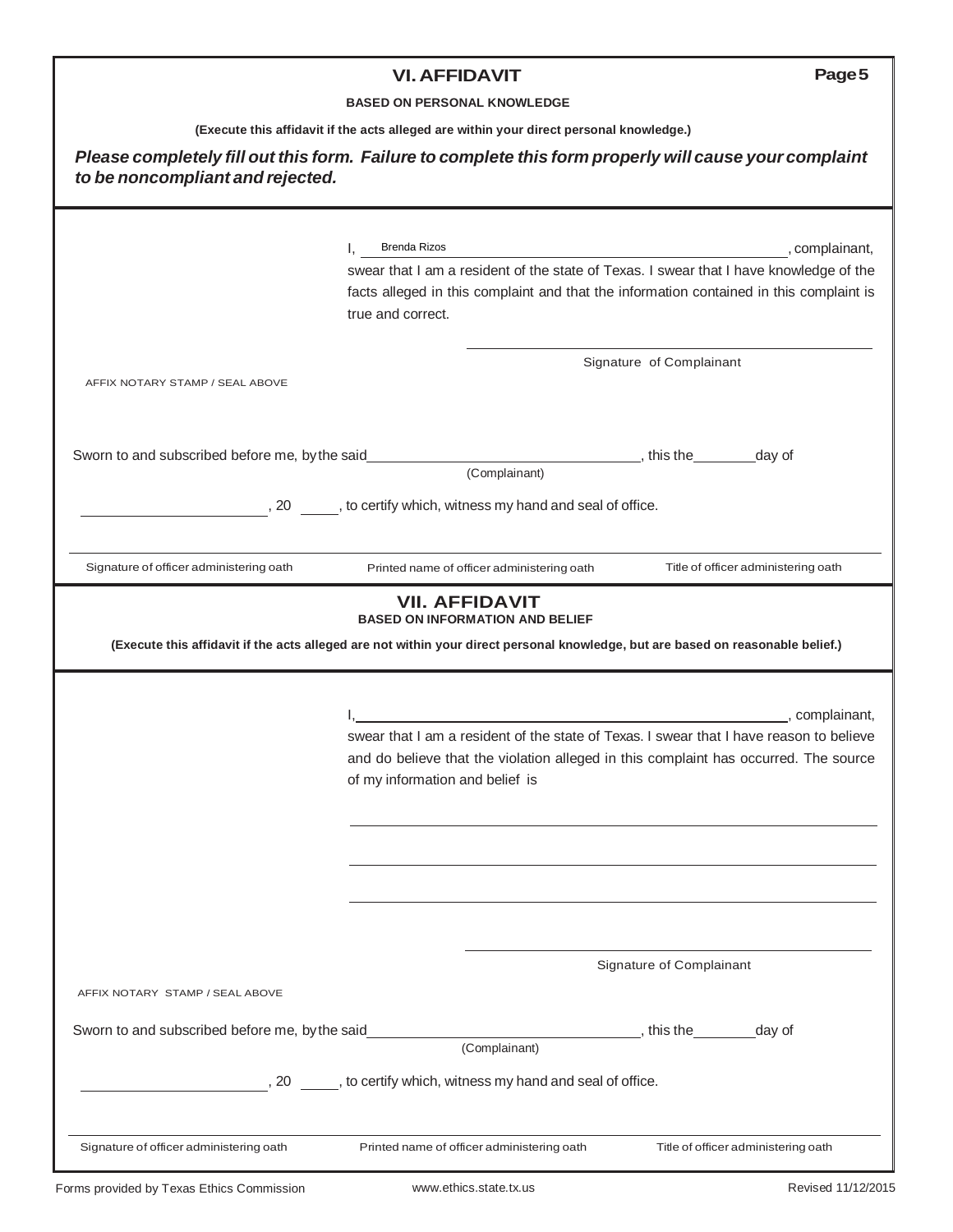# **VI.AFFIDAVIT Page5**

#### **BASED ON PERSONAL KNOWLEDGE**

**(Execute this affidavit if the acts alleged are within your direct personal knowledge.)**

|                                                | Brenda Rizos<br>Ι,                                                                                                                                                                                                                               | , complainant,                             |
|------------------------------------------------|--------------------------------------------------------------------------------------------------------------------------------------------------------------------------------------------------------------------------------------------------|--------------------------------------------|
|                                                | swear that I am a resident of the state of Texas. I swear that I have knowledge of the<br>facts alleged in this complaint and that the information contained in this complaint is<br>true and correct.                                           |                                            |
| AFFIX NOTARY STAMP / SEAL ABOVE                |                                                                                                                                                                                                                                                  | Signature of Complainant                   |
| Sworn to and subscribed before me, by the said |                                                                                                                                                                                                                                                  | day of                                     |
|                                                | (Complainant)                                                                                                                                                                                                                                    |                                            |
|                                                | , 20 , to certify which, witness my hand and seal of office.                                                                                                                                                                                     |                                            |
|                                                |                                                                                                                                                                                                                                                  |                                            |
| Signature of officer administering oath        | Printed name of officer administering oath<br><b>VII. AFFIDAVIT</b><br><b>BASED ON INFORMATION AND BELIEF</b><br>(Execute this affidavit if the acts alleged are not within your direct personal knowledge, but are based on reasonable belief.) | Title of officer administering oath        |
|                                                | swear that I am a resident of the state of Texas. I swear that I have reason to believe<br>and do believe that the violation alleged in this complaint has occurred. The source<br>of my information and belief is                               |                                            |
|                                                |                                                                                                                                                                                                                                                  |                                            |
|                                                |                                                                                                                                                                                                                                                  | , complainant,<br>Signature of Complainant |
| AFFIX NOTARY STAMP / SEAL ABOVE                |                                                                                                                                                                                                                                                  |                                            |
| Sworn to and subscribed before me, by the said | (Complainant)                                                                                                                                                                                                                                    | , this the<br>day of                       |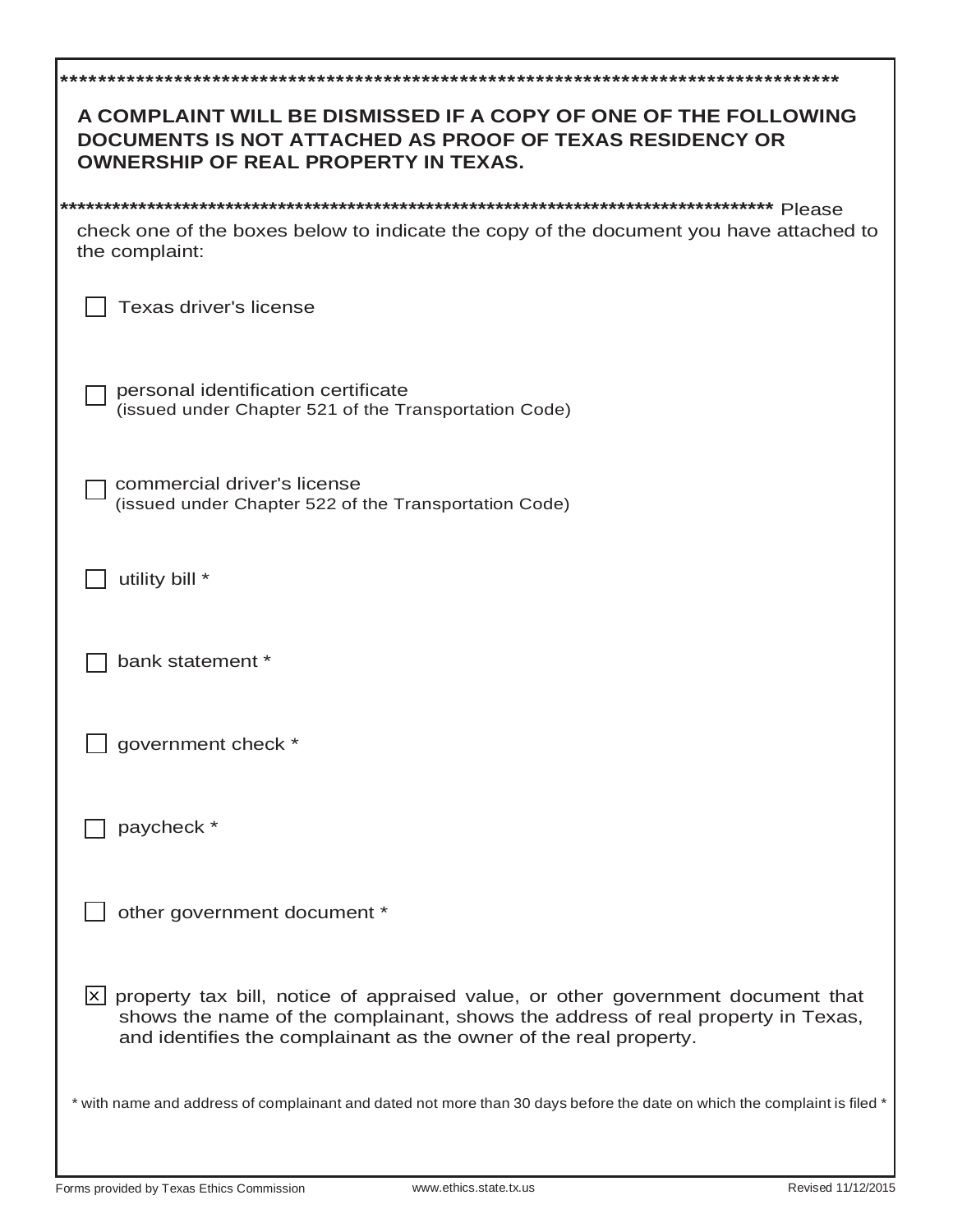| A COMPLAINT WILL BE DISMISSED IF A COPY OF ONE OF THE FOLLOWING<br>DOCUMENTS IS NOT ATTACHED AS PROOF OF TEXAS RESIDENCY OR<br><b>OWNERSHIP OF REAL PROPERTY IN TEXAS.</b>                                                                                  |
|-------------------------------------------------------------------------------------------------------------------------------------------------------------------------------------------------------------------------------------------------------------|
|                                                                                                                                                                                                                                                             |
| check one of the boxes below to indicate the copy of the document you have attached to<br>the complaint:                                                                                                                                                    |
| <b>Texas driver's license</b>                                                                                                                                                                                                                               |
| personal identification certificate<br>(issued under Chapter 521 of the Transportation Code)                                                                                                                                                                |
| commercial driver's license<br>(issued under Chapter 522 of the Transportation Code)                                                                                                                                                                        |
| utility bill *                                                                                                                                                                                                                                              |
| bank statement *                                                                                                                                                                                                                                            |
| government check *                                                                                                                                                                                                                                          |
| paycheck *                                                                                                                                                                                                                                                  |
| other government document *                                                                                                                                                                                                                                 |
| $\lfloor x \rfloor$ property tax bill, notice of appraised value, or other government document that<br>shows the name of the complainant, shows the address of real property in Texas,<br>and identifies the complainant as the owner of the real property. |
| * with name and address of complainant and dated not more than 30 days before the date on which the complaint is filed *                                                                                                                                    |